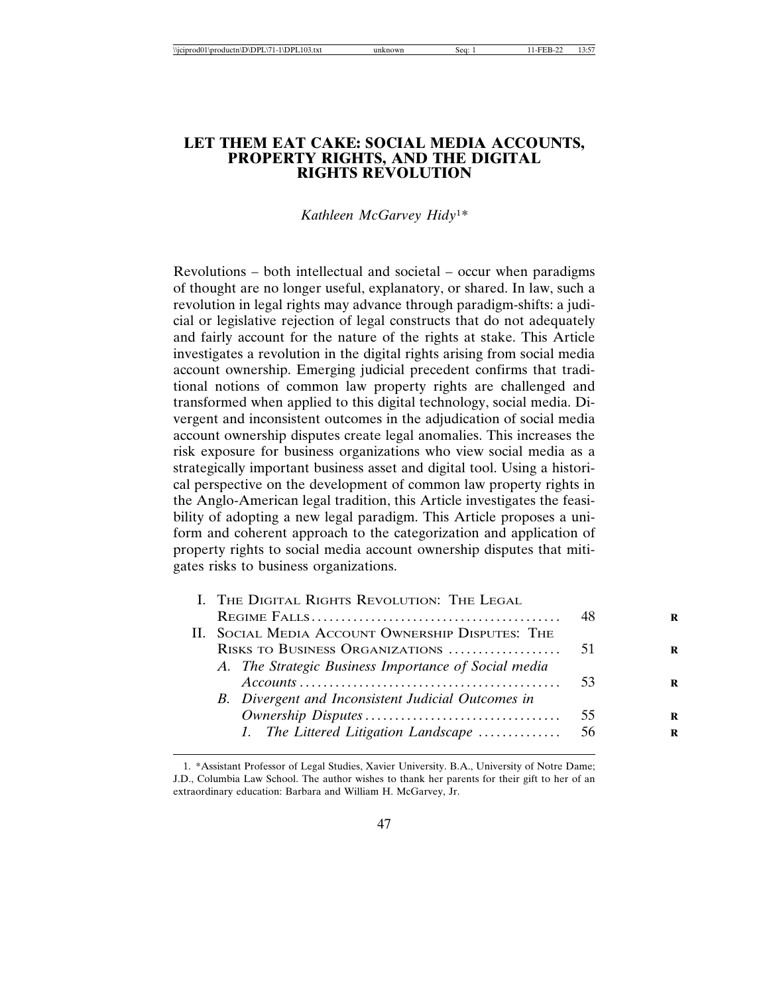## **LET THEM EAT CAKE: SOCIAL MEDIA ACCOUNTS, PROPERTY RIGHTS, AND THE DIGITAL RIGHTS REVOLUTION**

*Kathleen McGarvey Hidy*1*\**

Revolutions – both intellectual and societal – occur when paradigms of thought are no longer useful, explanatory, or shared. In law, such a revolution in legal rights may advance through paradigm-shifts: a judicial or legislative rejection of legal constructs that do not adequately and fairly account for the nature of the rights at stake. This Article investigates a revolution in the digital rights arising from social media account ownership. Emerging judicial precedent confirms that traditional notions of common law property rights are challenged and transformed when applied to this digital technology, social media. Divergent and inconsistent outcomes in the adjudication of social media account ownership disputes create legal anomalies. This increases the risk exposure for business organizations who view social media as a strategically important business asset and digital tool. Using a historical perspective on the development of common law property rights in the Anglo-American legal tradition, this Article investigates the feasibility of adopting a new legal paradigm. This Article proposes a uniform and coherent approach to the categorization and application of property rights to social media account ownership disputes that mitigates risks to business organizations.

| I. THE DIGITAL RIGHTS REVOLUTION: THE LEGAL          |     |
|------------------------------------------------------|-----|
|                                                      | -48 |
| II. SOCIAL MEDIA ACCOUNT OWNERSHIP DISPUTES: THE     |     |
|                                                      |     |
| A. The Strategic Business Importance of Social media |     |
|                                                      |     |
| B. Divergent and Inconsistent Judicial Outcomes in   |     |
|                                                      |     |
| 1. The Littered Litigation Landscape                 | 56  |

<sup>1. \*</sup>Assistant Professor of Legal Studies, Xavier University. B.A., University of Notre Dame; J.D., Columbia Law School. The author wishes to thank her parents for their gift to her of an extraordinary education: Barbara and William H. McGarvey, Jr.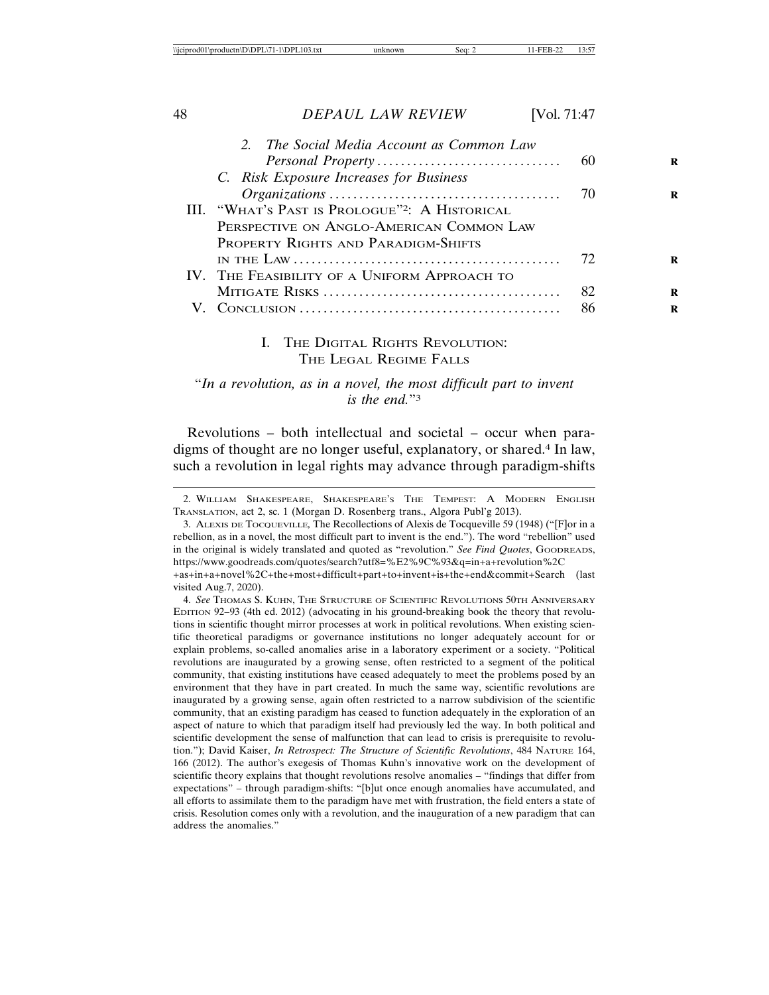| 2. The Social Media Account as Common Law                                                            |    |
|------------------------------------------------------------------------------------------------------|----|
|                                                                                                      |    |
| C. Risk Exposure Increases for Business                                                              |    |
|                                                                                                      |    |
| III. "WHAT'S PAST IS PROLOGUE" <sup>2</sup> : A HISTORICAL                                           |    |
| PERSPECTIVE ON ANGLO-AMERICAN COMMON LAW                                                             |    |
| PROPERTY RIGHTS AND PARADIGM-SHIFTS                                                                  |    |
| IN THE LAW $\ldots$ $\ldots$ $\ldots$ $\ldots$ $\ldots$ $\ldots$ $\ldots$ $\ldots$ $\ldots$ $\ldots$ | 72 |
| IV. THE FEASIBILITY OF A UNIFORM APPROACH TO                                                         |    |
|                                                                                                      | 82 |
|                                                                                                      | 86 |
|                                                                                                      |    |

### I. THE DIGITAL RIGHTS REVOLUTION: THE LEGAL REGIME FALLS

"*In a revolution, as in a novel, the most difficult part to invent is the end.*"3

Revolutions – both intellectual and societal – occur when paradigms of thought are no longer useful, explanatory, or shared.4 In law, such a revolution in legal rights may advance through paradigm-shifts

3. ALEXIS DE TOCQUEVILLE*,* The Recollections of Alexis de Tocqueville 59 (1948) ("[F]or in a rebellion, as in a novel, the most difficult part to invent is the end."). The word "rebellion" used in the original is widely translated and quoted as "revolution." *See Find Quotes*, GOODREADS, https://www.goodreads.com/quotes/search?utf8=%E2%9C%93&q=in+a+revolution%2C +as+in+a+novel%2C+the+most+difficult+part+to+invent+is+the+end&commit+Search (last visited Aug.7, 2020).

4. *See* THOMAS S. KUHN, THE STRUCTURE OF SCIENTIFIC REVOLUTIONS 50TH ANNIVERSARY EDITION 92–93 (4th ed. 2012) (advocating in his ground-breaking book the theory that revolutions in scientific thought mirror processes at work in political revolutions. When existing scientific theoretical paradigms or governance institutions no longer adequately account for or explain problems, so-called anomalies arise in a laboratory experiment or a society. "Political revolutions are inaugurated by a growing sense, often restricted to a segment of the political community, that existing institutions have ceased adequately to meet the problems posed by an environment that they have in part created. In much the same way, scientific revolutions are inaugurated by a growing sense, again often restricted to a narrow subdivision of the scientific community, that an existing paradigm has ceased to function adequately in the exploration of an aspect of nature to which that paradigm itself had previously led the way. In both political and scientific development the sense of malfunction that can lead to crisis is prerequisite to revolution."); David Kaiser, *In Retrospect: The Structure of Scientific Revolutions*, 484 NATURE 164, 166 (2012). The author's exegesis of Thomas Kuhn's innovative work on the development of scientific theory explains that thought revolutions resolve anomalies – "findings that differ from expectations" – through paradigm-shifts: "[b]ut once enough anomalies have accumulated, and all efforts to assimilate them to the paradigm have met with frustration, the field enters a state of crisis. Resolution comes only with a revolution, and the inauguration of a new paradigm that can address the anomalies."

<sup>2.</sup> WILLIAM SHAKESPEARE, SHAKESPEARE'S THE TEMPEST: A MODERN ENGLISH TRANSLATION, act 2, sc. 1 (Morgan D. Rosenberg trans., Algora Publ'g 2013).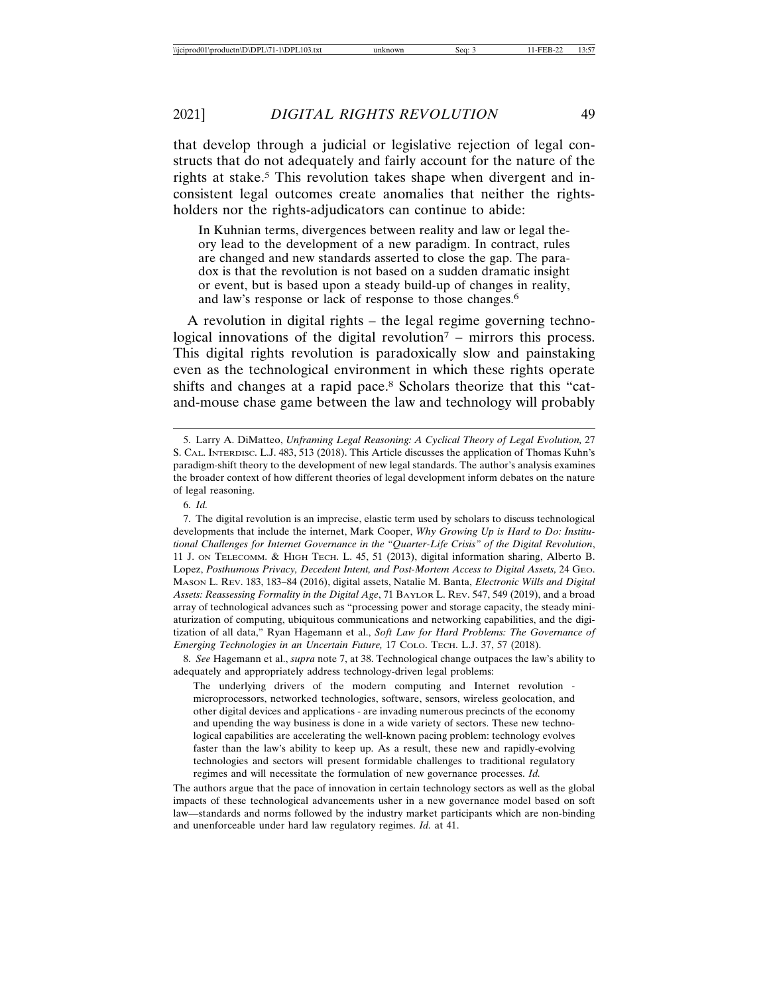that develop through a judicial or legislative rejection of legal constructs that do not adequately and fairly account for the nature of the rights at stake.<sup>5</sup> This revolution takes shape when divergent and inconsistent legal outcomes create anomalies that neither the rightsholders nor the rights-adjudicators can continue to abide:

In Kuhnian terms, divergences between reality and law or legal theory lead to the development of a new paradigm. In contract, rules are changed and new standards asserted to close the gap. The paradox is that the revolution is not based on a sudden dramatic insight or event, but is based upon a steady build-up of changes in reality, and law's response or lack of response to those changes.6

A revolution in digital rights – the legal regime governing technological innovations of the digital revolution<sup> $7$ </sup> – mirrors this process. This digital rights revolution is paradoxically slow and painstaking even as the technological environment in which these rights operate shifts and changes at a rapid pace.8 Scholars theorize that this "catand-mouse chase game between the law and technology will probably

6. *Id.*

7. The digital revolution is an imprecise, elastic term used by scholars to discuss technological developments that include the internet, Mark Cooper, *Why Growing Up is Hard to Do: Institutional Challenges for Internet Governance in the "Quarter-Life Crisis" of the Digital Revolution*, 11 J. ON TELECOMM. & HIGH TECH. L. 45, 51 (2013), digital information sharing, Alberto B. Lopez, *Posthumous Privacy, Decedent Intent, and Post-Mortem Access to Digital Assets,* 24 GEO. MASON L. REV. 183, 183–84 (2016), digital assets, Natalie M. Banta, *Electronic Wills and Digital Assets: Reassessing Formality in the Digital Age*, 71 BAYLOR L. REV. 547, 549 (2019), and a broad array of technological advances such as "processing power and storage capacity, the steady miniaturization of computing, ubiquitous communications and networking capabilities, and the digitization of all data," Ryan Hagemann et al., *Soft Law for Hard Problems: The Governance of Emerging Technologies in an Uncertain Future,* 17 COLO. TECH. L.J. 37, 57 (2018).

8. *See* Hagemann et al., *supra* note 7, at 38. Technological change outpaces the law's ability to adequately and appropriately address technology-driven legal problems:

The underlying drivers of the modern computing and Internet revolution microprocessors, networked technologies, software, sensors, wireless geolocation, and other digital devices and applications - are invading numerous precincts of the economy and upending the way business is done in a wide variety of sectors. These new technological capabilities are accelerating the well-known pacing problem: technology evolves faster than the law's ability to keep up. As a result, these new and rapidly-evolving technologies and sectors will present formidable challenges to traditional regulatory regimes and will necessitate the formulation of new governance processes. *Id.*

The authors argue that the pace of innovation in certain technology sectors as well as the global impacts of these technological advancements usher in a new governance model based on soft law—standards and norms followed by the industry market participants which are non-binding and unenforceable under hard law regulatory regimes. *Id.* at 41.

<sup>5.</sup> Larry A. DiMatteo, *Unframing Legal Reasoning: A Cyclical Theory of Legal Evolution,* 27 S. CAL. INTERDISC. L.J. 483, 513 (2018). This Article discusses the application of Thomas Kuhn's paradigm-shift theory to the development of new legal standards. The author's analysis examines the broader context of how different theories of legal development inform debates on the nature of legal reasoning.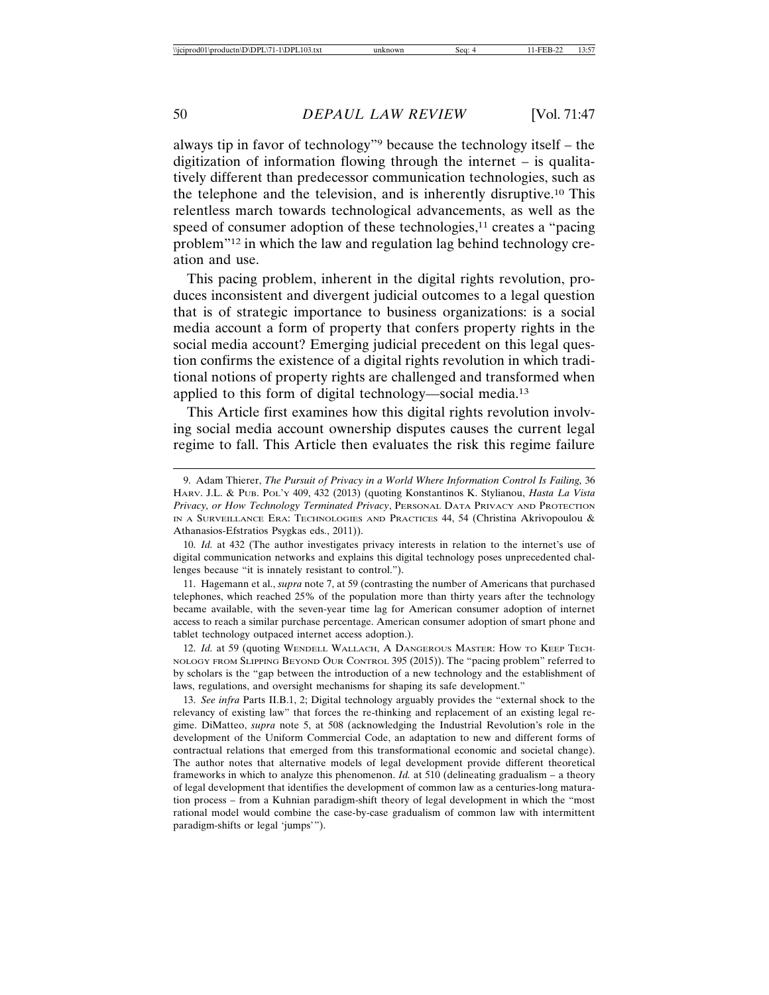always tip in favor of technology"9 because the technology itself – the digitization of information flowing through the internet – is qualitatively different than predecessor communication technologies, such as the telephone and the television, and is inherently disruptive.10 This relentless march towards technological advancements, as well as the speed of consumer adoption of these technologies, $11$  creates a "pacing" problem"12 in which the law and regulation lag behind technology creation and use.

This pacing problem, inherent in the digital rights revolution, produces inconsistent and divergent judicial outcomes to a legal question that is of strategic importance to business organizations: is a social media account a form of property that confers property rights in the social media account? Emerging judicial precedent on this legal question confirms the existence of a digital rights revolution in which traditional notions of property rights are challenged and transformed when applied to this form of digital technology—social media.13

This Article first examines how this digital rights revolution involving social media account ownership disputes causes the current legal regime to fall. This Article then evaluates the risk this regime failure

11. Hagemann et al., *supra* note 7, at 59 (contrasting the number of Americans that purchased telephones, which reached 25% of the population more than thirty years after the technology became available, with the seven-year time lag for American consumer adoption of internet access to reach a similar purchase percentage. American consumer adoption of smart phone and tablet technology outpaced internet access adoption.).

12. *Id.* at 59 (quoting WENDELL WALLACH, A DANGEROUS MASTER: HOW TO KEEP TECH-NOLOGY FROM SLIPPING BEYOND OUR CONTROL 395 (2015)). The "pacing problem" referred to by scholars is the "gap between the introduction of a new technology and the establishment of laws, regulations, and oversight mechanisms for shaping its safe development."

13. *See infra* Parts II.B.1, 2; Digital technology arguably provides the "external shock to the relevancy of existing law" that forces the re-thinking and replacement of an existing legal regime. DiMatteo, *supra* note 5, at 508 (acknowledging the Industrial Revolution's role in the development of the Uniform Commercial Code, an adaptation to new and different forms of contractual relations that emerged from this transformational economic and societal change). The author notes that alternative models of legal development provide different theoretical frameworks in which to analyze this phenomenon. *Id.* at 510 (delineating gradualism – a theory of legal development that identifies the development of common law as a centuries-long maturation process – from a Kuhnian paradigm-shift theory of legal development in which the "most rational model would combine the case-by-case gradualism of common law with intermittent paradigm-shifts or legal 'jumps'").

<sup>9.</sup> Adam Thierer, *The Pursuit of Privacy in a World Where Information Control Is Failing,* 36 HARV. J.L. & PUB. POL'Y 409, 432 (2013) (quoting Konstantinos K. Stylianou, *Hasta La Vista Privacy, or How Technology Terminated Privacy*, PERSONAL DATA PRIVACY AND PROTECTION IN A SURVEILLANCE ERA: TECHNOLOGIES AND PRACTICES 44, 54 (Christina Akrivopoulou & Athanasios-Efstratios Psygkas eds., 2011)).

<sup>10.</sup> *Id.* at 432 (The author investigates privacy interests in relation to the internet's use of digital communication networks and explains this digital technology poses unprecedented challenges because "it is innately resistant to control.").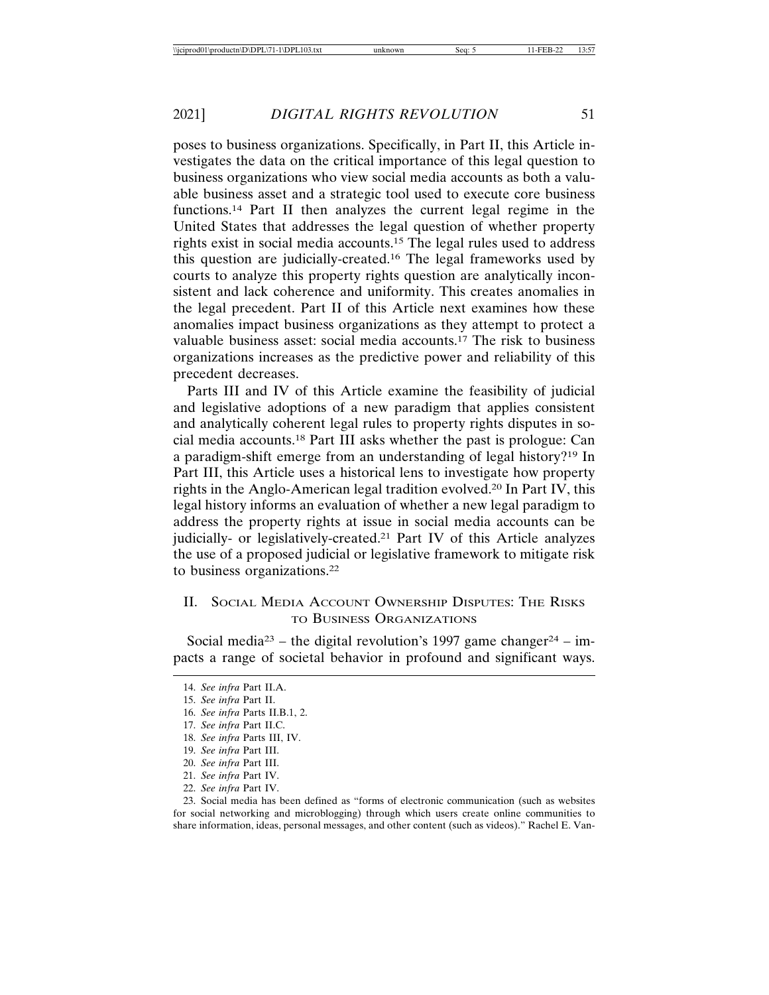poses to business organizations. Specifically, in Part II, this Article investigates the data on the critical importance of this legal question to business organizations who view social media accounts as both a valuable business asset and a strategic tool used to execute core business functions.14 Part II then analyzes the current legal regime in the United States that addresses the legal question of whether property rights exist in social media accounts.15 The legal rules used to address this question are judicially-created.16 The legal frameworks used by courts to analyze this property rights question are analytically inconsistent and lack coherence and uniformity. This creates anomalies in the legal precedent. Part II of this Article next examines how these anomalies impact business organizations as they attempt to protect a valuable business asset: social media accounts.17 The risk to business organizations increases as the predictive power and reliability of this precedent decreases.

Parts III and IV of this Article examine the feasibility of judicial and legislative adoptions of a new paradigm that applies consistent and analytically coherent legal rules to property rights disputes in social media accounts.18 Part III asks whether the past is prologue: Can a paradigm-shift emerge from an understanding of legal history?19 In Part III, this Article uses a historical lens to investigate how property rights in the Anglo-American legal tradition evolved.20 In Part IV, this legal history informs an evaluation of whether a new legal paradigm to address the property rights at issue in social media accounts can be judicially- or legislatively-created.21 Part IV of this Article analyzes the use of a proposed judicial or legislative framework to mitigate risk to business organizations.22

## II. SOCIAL MEDIA ACCOUNT OWNERSHIP DISPUTES: THE RISKS TO BUSINESS ORGANIZATIONS

Social media<sup>23</sup> – the digital revolution's 1997 game changer<sup>24</sup> – impacts a range of societal behavior in profound and significant ways.

23. Social media has been defined as "forms of electronic communication (such as websites for social networking and microblogging) through which users create online communities to share information, ideas, personal messages, and other content (such as videos)." Rachel E. Van-

<sup>14.</sup> *See infra* Part II.A.

<sup>15.</sup> *See infra* Part II.

<sup>16.</sup> *See infra* Parts II.B.1, 2.

<sup>17.</sup> *See infra* Part II.C.

<sup>18.</sup> *See infra* Parts III, IV.

<sup>19.</sup> *See infra* Part III.

<sup>20.</sup> *See infra* Part III.

<sup>21.</sup> *See infra* Part IV.

<sup>22.</sup> *See infra* Part IV.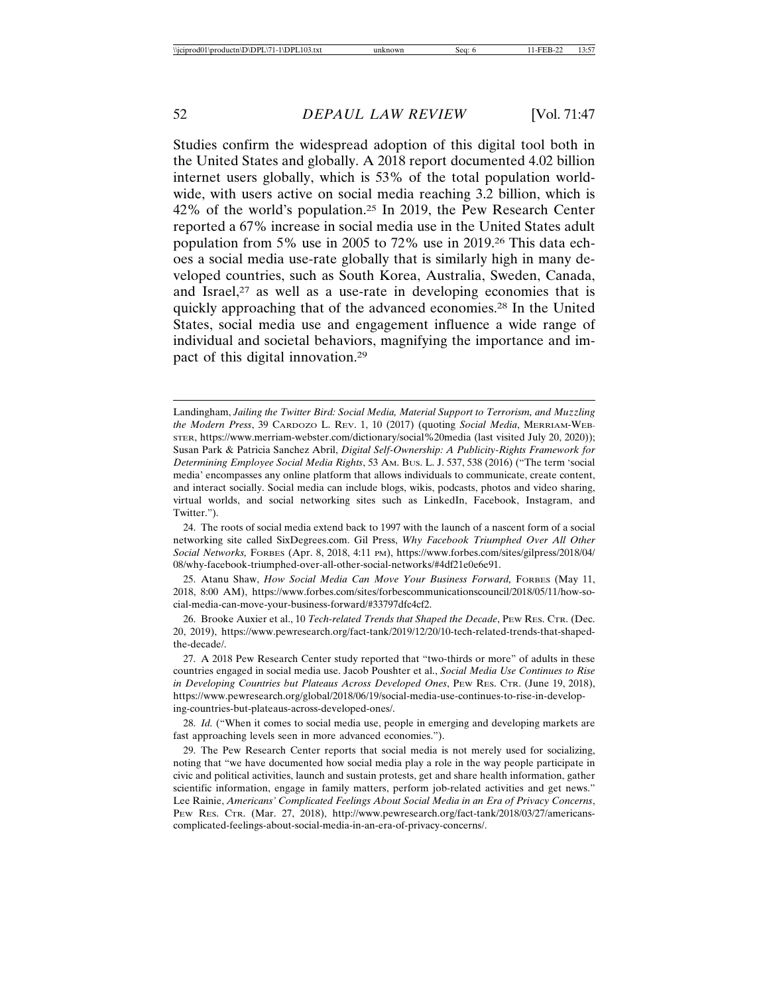Studies confirm the widespread adoption of this digital tool both in the United States and globally. A 2018 report documented 4.02 billion internet users globally, which is 53% of the total population worldwide, with users active on social media reaching 3.2 billion, which is 42% of the world's population.25 In 2019, the Pew Research Center reported a 67% increase in social media use in the United States adult population from 5% use in 2005 to 72% use in 2019.26 This data echoes a social media use-rate globally that is similarly high in many developed countries, such as South Korea, Australia, Sweden, Canada, and Israel, $27$  as well as a use-rate in developing economies that is quickly approaching that of the advanced economies.28 In the United States, social media use and engagement influence a wide range of individual and societal behaviors, magnifying the importance and impact of this digital innovation.29

25. Atanu Shaw, *How Social Media Can Move Your Business Forward,* FORBES (May 11, 2018, 8:00 AM), https://www.forbes.com/sites/forbescommunicationscouncil/2018/05/11/how-social-media-can-move-your-business-forward/#33797dfc4cf2.

26. Brooke Auxier et al., 10 *Tech-related Trends that Shaped the Decade*, PEW RES. CTR. (Dec. 20, 2019), https://www.pewresearch.org/fact-tank/2019/12/20/10-tech-related-trends-that-shapedthe-decade/.

27. A 2018 Pew Research Center study reported that "two-thirds or more" of adults in these countries engaged in social media use. Jacob Poushter et al., *Social Media Use Continues to Rise in Developing Countries but Plateaus Across Developed Ones*, PEW RES. CTR. (June 19, 2018), https://www.pewresearch.org/global/2018/06/19/social-media-use-continues-to-rise-in-developing-countries-but-plateaus-across-developed-ones/.

28. *Id.* ("When it comes to social media use, people in emerging and developing markets are fast approaching levels seen in more advanced economies.").

29. The Pew Research Center reports that social media is not merely used for socializing, noting that "we have documented how social media play a role in the way people participate in civic and political activities, launch and sustain protests, get and share health information, gather scientific information, engage in family matters, perform job-related activities and get news." Lee Rainie, *Americans' Complicated Feelings About Social Media in an Era of Privacy Concerns*, PEW RES. CTR. (Mar. 27, 2018), http://www.pewresearch.org/fact-tank/2018/03/27/americanscomplicated-feelings-about-social-media-in-an-era-of-privacy-concerns/.

Landingham, *Jailing the Twitter Bird: Social Media, Material Support to Terrorism, and Muzzling the Modern Press*, 39 CARDOZO L. REV. 1, 10 (2017) (quoting *Social Media*, MERRIAM-WEB-STER, https://www.merriam-webster.com/dictionary/social%20media (last visited July 20, 2020)); Susan Park & Patricia Sanchez Abril, *Digital Self-Ownership: A Publicity-Rights Framework for Determining Employee Social Media Rights*, 53 AM. BUS. L. J. 537, 538 (2016) ("The term 'social media' encompasses any online platform that allows individuals to communicate, create content, and interact socially. Social media can include blogs, wikis, podcasts, photos and video sharing, virtual worlds, and social networking sites such as LinkedIn, Facebook, Instagram, and Twitter.").

<sup>24.</sup> The roots of social media extend back to 1997 with the launch of a nascent form of a social networking site called SixDegrees.com. Gil Press, *Why Facebook Triumphed Over All Other Social Networks,* FORBES (Apr. 8, 2018, 4:11 PM), https://www.forbes.com/sites/gilpress/2018/04/ 08/why-facebook-triumphed-over-all-other-social-networks/#4df21e0e6e91.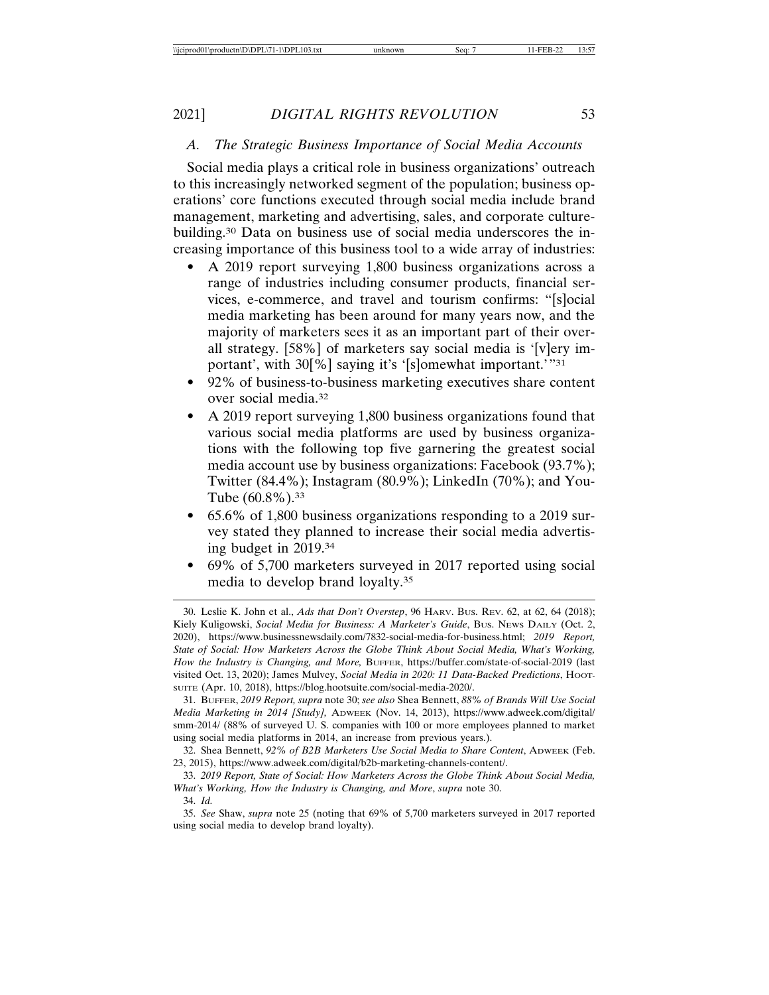#### *A. The Strategic Business Importance of Social Media Accounts*

Social media plays a critical role in business organizations' outreach to this increasingly networked segment of the population; business operations' core functions executed through social media include brand management, marketing and advertising, sales, and corporate culturebuilding.30 Data on business use of social media underscores the increasing importance of this business tool to a wide array of industries:

- A 2019 report surveying 1,800 business organizations across a range of industries including consumer products, financial services, e-commerce, and travel and tourism confirms: "[s]ocial media marketing has been around for many years now, and the majority of marketers sees it as an important part of their overall strategy. [58%] of marketers say social media is '[v]ery important', with 30[%] saying it's '[s]omewhat important.'"31
- 92% of business-to-business marketing executives share content over social media.32
- A 2019 report surveying 1,800 business organizations found that various social media platforms are used by business organizations with the following top five garnering the greatest social media account use by business organizations: Facebook (93.7%); Twitter (84.4%); Instagram (80.9%); LinkedIn (70%); and You-Tube (60.8%).33
- 65.6% of 1,800 business organizations responding to a 2019 survey stated they planned to increase their social media advertising budget in 2019.34
- 69% of 5,700 marketers surveyed in 2017 reported using social media to develop brand loyalty.35

<sup>30.</sup> Leslie K. John et al., *Ads that Don't Overstep*, 96 HARV. BUS. REV. 62, at 62, 64 (2018); Kiely Kuligowski, *Social Media for Business: A Marketer's Guide*, Bus. News DAILY (Oct. 2, 2020), https://www.businessnewsdaily.com/7832-social-media-for-business.html; *2019 Report, State of Social: How Marketers Across the Globe Think About Social Media, What's Working, How the Industry is Changing, and More,* BUFFER, https://buffer.com/state-of-social-2019 (last visited Oct. 13, 2020); James Mulvey, *Social Media in 2020: 11 Data-Backed Predictions*, Hoor-SUITE (Apr. 10, 2018), https://blog.hootsuite.com/social-media-2020/.

<sup>31.</sup> BUFFER, *2019 Report, supra* note 30; *see also* Shea Bennett, *88% of Brands Will Use Social Media Marketing in 2014 [Study],* ADWEEK (Nov. 14, 2013), https://www.adweek.com/digital/ smm-2014/ (88% of surveyed U. S. companies with 100 or more employees planned to market using social media platforms in 2014, an increase from previous years.).

<sup>32.</sup> Shea Bennett, *92% of B2B Marketers Use Social Media to Share Content*, ADWEEK (Feb. 23, 2015), https://www.adweek.com/digital/b2b-marketing-channels-content/.

<sup>33.</sup> *2019 Report, State of Social: How Marketers Across the Globe Think About Social Media, What's Working, How the Industry is Changing, and More*, *supra* note 30.

<sup>34.</sup> *Id.*

<sup>35.</sup> *See* Shaw, *supra* note 25 (noting that 69% of 5,700 marketers surveyed in 2017 reported using social media to develop brand loyalty).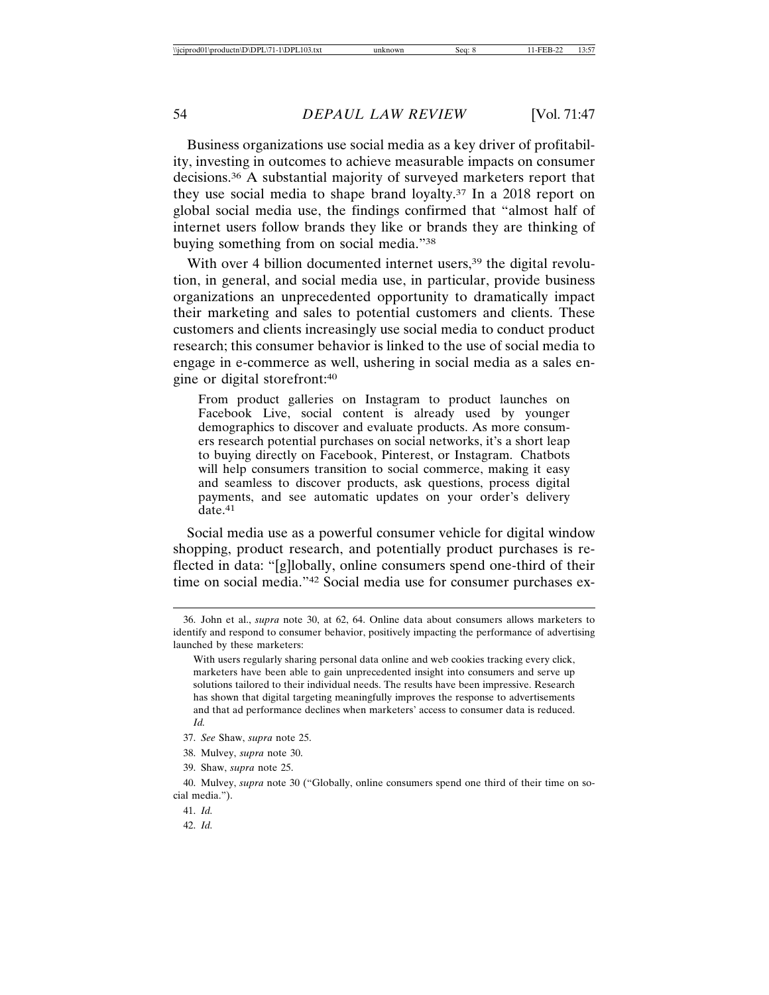Business organizations use social media as a key driver of profitability, investing in outcomes to achieve measurable impacts on consumer decisions.36 A substantial majority of surveyed marketers report that they use social media to shape brand loyalty.37 In a 2018 report on global social media use, the findings confirmed that "almost half of internet users follow brands they like or brands they are thinking of buying something from on social media."38

With over 4 billion documented internet users,<sup>39</sup> the digital revolution, in general, and social media use, in particular, provide business organizations an unprecedented opportunity to dramatically impact their marketing and sales to potential customers and clients. These customers and clients increasingly use social media to conduct product research; this consumer behavior is linked to the use of social media to engage in e-commerce as well, ushering in social media as a sales engine or digital storefront:40

From product galleries on Instagram to product launches on Facebook Live, social content is already used by younger demographics to discover and evaluate products. As more consumers research potential purchases on social networks, it's a short leap to buying directly on Facebook, Pinterest, or Instagram. Chatbots will help consumers transition to social commerce, making it easy and seamless to discover products, ask questions, process digital payments, and see automatic updates on your order's delivery date.<sup>41</sup>

Social media use as a powerful consumer vehicle for digital window shopping, product research, and potentially product purchases is reflected in data: "[g]lobally, online consumers spend one-third of their time on social media."42 Social media use for consumer purchases ex-

<sup>36.</sup> John et al., *supra* note 30, at 62, 64. Online data about consumers allows marketers to identify and respond to consumer behavior, positively impacting the performance of advertising launched by these marketers:

With users regularly sharing personal data online and web cookies tracking every click, marketers have been able to gain unprecedented insight into consumers and serve up solutions tailored to their individual needs. The results have been impressive. Research has shown that digital targeting meaningfully improves the response to advertisements and that ad performance declines when marketers' access to consumer data is reduced. *Id.*

<sup>37.</sup> *See* Shaw, *supra* note 25.

<sup>38.</sup> Mulvey, *supra* note 30.

<sup>39.</sup> Shaw, *supra* note 25.

<sup>40.</sup> Mulvey, *supra* note 30 ("Globally, online consumers spend one third of their time on social media.").

<sup>41.</sup> *Id.*

<sup>42.</sup> *Id.*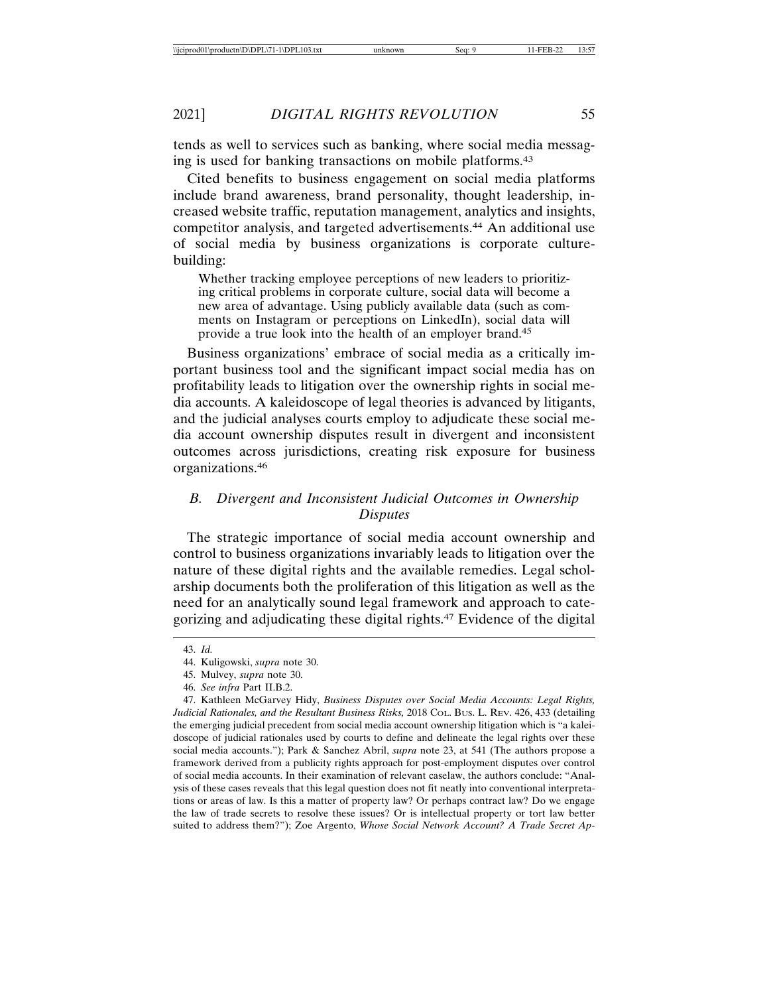tends as well to services such as banking, where social media messaging is used for banking transactions on mobile platforms.43

Cited benefits to business engagement on social media platforms include brand awareness, brand personality, thought leadership, increased website traffic, reputation management, analytics and insights, competitor analysis, and targeted advertisements.44 An additional use of social media by business organizations is corporate culturebuilding:

Whether tracking employee perceptions of new leaders to prioritizing critical problems in corporate culture, social data will become a new area of advantage. Using publicly available data (such as comments on Instagram or perceptions on LinkedIn), social data will provide a true look into the health of an employer brand.45

Business organizations' embrace of social media as a critically important business tool and the significant impact social media has on profitability leads to litigation over the ownership rights in social media accounts. A kaleidoscope of legal theories is advanced by litigants, and the judicial analyses courts employ to adjudicate these social media account ownership disputes result in divergent and inconsistent outcomes across jurisdictions, creating risk exposure for business organizations.46

# *B. Divergent and Inconsistent Judicial Outcomes in Ownership Disputes*

The strategic importance of social media account ownership and control to business organizations invariably leads to litigation over the nature of these digital rights and the available remedies. Legal scholarship documents both the proliferation of this litigation as well as the need for an analytically sound legal framework and approach to categorizing and adjudicating these digital rights.47 Evidence of the digital

<sup>43.</sup> *Id.*

<sup>44.</sup> Kuligowski, *supra* note 30.

<sup>45.</sup> Mulvey, *supra* note 30.

<sup>46.</sup> *See infra* Part II.B.2.

<sup>47.</sup> Kathleen McGarvey Hidy, *Business Disputes over Social Media Accounts: Legal Rights,* Judicial Rationales, and the Resultant Business Risks, 2018 CoL. Bus. L. REV. 426, 433 (detailing the emerging judicial precedent from social media account ownership litigation which is "a kaleidoscope of judicial rationales used by courts to define and delineate the legal rights over these social media accounts."); Park & Sanchez Abril, *supra* note 23, at 541 (The authors propose a framework derived from a publicity rights approach for post-employment disputes over control of social media accounts. In their examination of relevant caselaw, the authors conclude: "Analysis of these cases reveals that this legal question does not fit neatly into conventional interpretations or areas of law. Is this a matter of property law? Or perhaps contract law? Do we engage the law of trade secrets to resolve these issues? Or is intellectual property or tort law better suited to address them?"); Zoe Argento, *Whose Social Network Account? A Trade Secret Ap-*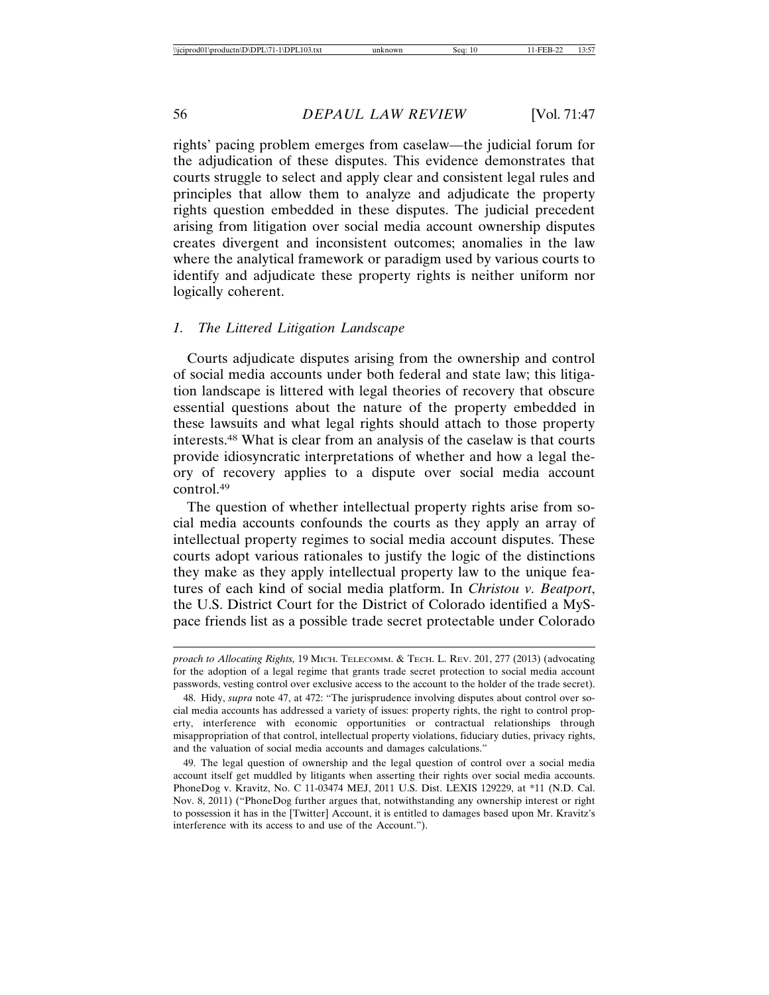rights' pacing problem emerges from caselaw—the judicial forum for the adjudication of these disputes. This evidence demonstrates that courts struggle to select and apply clear and consistent legal rules and principles that allow them to analyze and adjudicate the property rights question embedded in these disputes. The judicial precedent arising from litigation over social media account ownership disputes creates divergent and inconsistent outcomes; anomalies in the law where the analytical framework or paradigm used by various courts to identify and adjudicate these property rights is neither uniform nor logically coherent.

## *1. The Littered Litigation Landscape*

Courts adjudicate disputes arising from the ownership and control of social media accounts under both federal and state law; this litigation landscape is littered with legal theories of recovery that obscure essential questions about the nature of the property embedded in these lawsuits and what legal rights should attach to those property interests.48 What is clear from an analysis of the caselaw is that courts provide idiosyncratic interpretations of whether and how a legal theory of recovery applies to a dispute over social media account control.49

The question of whether intellectual property rights arise from social media accounts confounds the courts as they apply an array of intellectual property regimes to social media account disputes. These courts adopt various rationales to justify the logic of the distinctions they make as they apply intellectual property law to the unique features of each kind of social media platform. In *Christou v. Beatport*, the U.S. District Court for the District of Colorado identified a MySpace friends list as a possible trade secret protectable under Colorado

*proach to Allocating Rights,* 19 MICH. TELECOMM. & TECH. L. REV. 201, 277 (2013) (advocating for the adoption of a legal regime that grants trade secret protection to social media account passwords, vesting control over exclusive access to the account to the holder of the trade secret).

<sup>48.</sup> Hidy, *supra* note 47, at 472: "The jurisprudence involving disputes about control over social media accounts has addressed a variety of issues: property rights, the right to control property, interference with economic opportunities or contractual relationships through misappropriation of that control, intellectual property violations, fiduciary duties, privacy rights, and the valuation of social media accounts and damages calculations."

<sup>49.</sup> The legal question of ownership and the legal question of control over a social media account itself get muddled by litigants when asserting their rights over social media accounts. PhoneDog v. Kravitz, No. C 11-03474 MEJ, 2011 U.S. Dist. LEXIS 129229, at \*11 (N.D. Cal. Nov. 8, 2011) ("PhoneDog further argues that, notwithstanding any ownership interest or right to possession it has in the [Twitter] Account, it is entitled to damages based upon Mr. Kravitz's interference with its access to and use of the Account.").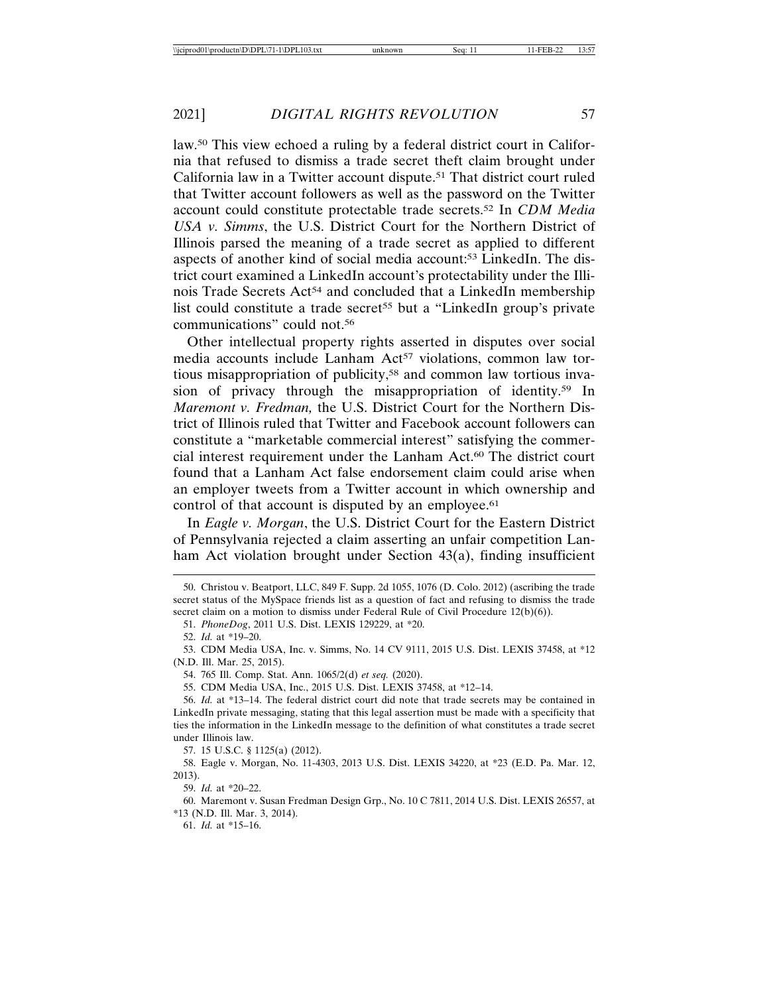law.50 This view echoed a ruling by a federal district court in California that refused to dismiss a trade secret theft claim brought under California law in a Twitter account dispute.51 That district court ruled that Twitter account followers as well as the password on the Twitter account could constitute protectable trade secrets.52 In *CDM Media USA v. Simms*, the U.S. District Court for the Northern District of Illinois parsed the meaning of a trade secret as applied to different aspects of another kind of social media account:53 LinkedIn. The district court examined a LinkedIn account's protectability under the Illinois Trade Secrets Act<sup>54</sup> and concluded that a LinkedIn membership list could constitute a trade secret<sup>55</sup> but a "LinkedIn group's private communications" could not.56

Other intellectual property rights asserted in disputes over social media accounts include Lanham Act<sup>57</sup> violations, common law tortious misappropriation of publicity,58 and common law tortious invasion of privacy through the misappropriation of identity.59 In *Maremont v. Fredman,* the U.S. District Court for the Northern District of Illinois ruled that Twitter and Facebook account followers can constitute a "marketable commercial interest" satisfying the commercial interest requirement under the Lanham Act.60 The district court found that a Lanham Act false endorsement claim could arise when an employer tweets from a Twitter account in which ownership and control of that account is disputed by an employee.<sup>61</sup>

In *Eagle v. Morgan*, the U.S. District Court for the Eastern District of Pennsylvania rejected a claim asserting an unfair competition Lanham Act violation brought under Section 43(a), finding insufficient

54. 765 Ill. Comp. Stat. Ann. 1065/2(d) *et seq.* (2020).

55. CDM Media USA, Inc., 2015 U.S. Dist. LEXIS 37458, at \*12–14.

57. 15 U.S.C. § 1125(a) (2012).

59. *Id.* at \*20–22.

60. Maremont v. Susan Fredman Design Grp., No. 10 C 7811, 2014 U.S. Dist. LEXIS 26557, at \*13 (N.D. Ill. Mar. 3, 2014).

61. *Id.* at \*15–16.

<sup>50.</sup> Christou v. Beatport, LLC, 849 F. Supp. 2d 1055, 1076 (D. Colo. 2012) (ascribing the trade secret status of the MySpace friends list as a question of fact and refusing to dismiss the trade secret claim on a motion to dismiss under Federal Rule of Civil Procedure 12(b)(6)).

<sup>51.</sup> *PhoneDog*, 2011 U.S. Dist. LEXIS 129229, at \*20.

<sup>52.</sup> *Id.* at \*19–20.

<sup>53.</sup> CDM Media USA, Inc. v. Simms, No. 14 CV 9111, 2015 U.S. Dist. LEXIS 37458, at \*12 (N.D. Ill. Mar. 25, 2015).

<sup>56.</sup> *Id.* at \*13–14. The federal district court did note that trade secrets may be contained in LinkedIn private messaging, stating that this legal assertion must be made with a specificity that ties the information in the LinkedIn message to the definition of what constitutes a trade secret under Illinois law.

<sup>58.</sup> Eagle v. Morgan, No. 11-4303, 2013 U.S. Dist. LEXIS 34220, at \*23 (E.D. Pa. Mar. 12, 2013).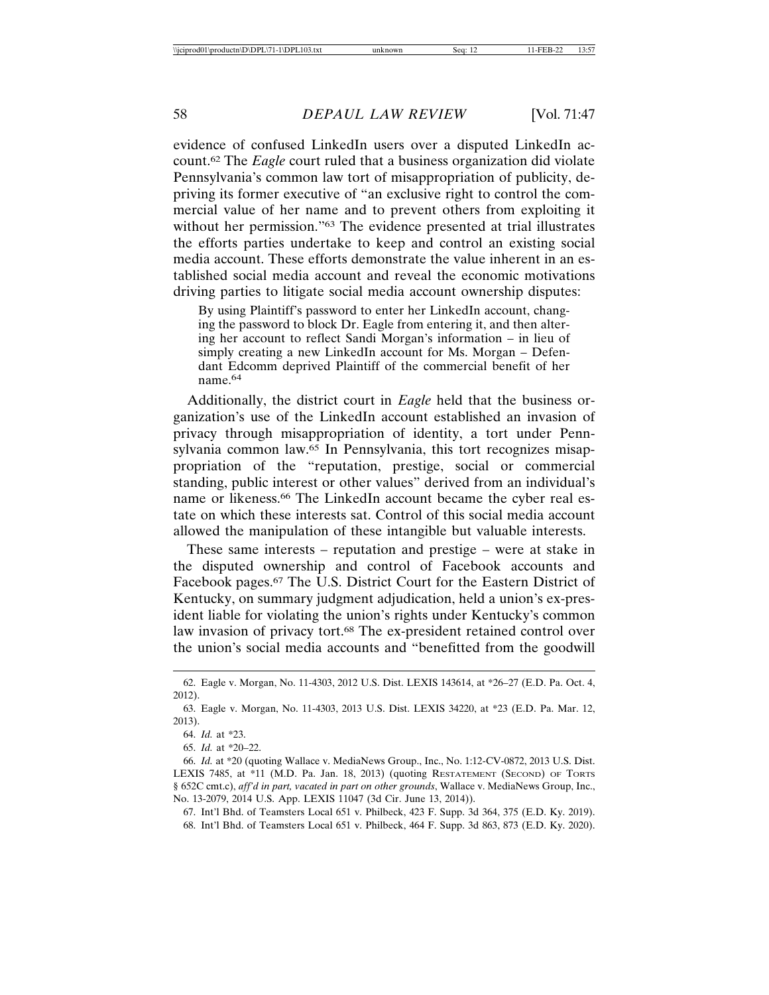evidence of confused LinkedIn users over a disputed LinkedIn account.62 The *Eagle* court ruled that a business organization did violate Pennsylvania's common law tort of misappropriation of publicity, depriving its former executive of "an exclusive right to control the commercial value of her name and to prevent others from exploiting it without her permission."63 The evidence presented at trial illustrates the efforts parties undertake to keep and control an existing social media account. These efforts demonstrate the value inherent in an established social media account and reveal the economic motivations driving parties to litigate social media account ownership disputes:

By using Plaintiff's password to enter her LinkedIn account, changing the password to block Dr. Eagle from entering it, and then altering her account to reflect Sandi Morgan's information – in lieu of simply creating a new LinkedIn account for Ms. Morgan – Defendant Edcomm deprived Plaintiff of the commercial benefit of her name.<sup>64</sup>

Additionally, the district court in *Eagle* held that the business organization's use of the LinkedIn account established an invasion of privacy through misappropriation of identity, a tort under Pennsylvania common law.<sup>65</sup> In Pennsylvania, this tort recognizes misappropriation of the "reputation, prestige, social or commercial standing, public interest or other values" derived from an individual's name or likeness.<sup>66</sup> The LinkedIn account became the cyber real estate on which these interests sat. Control of this social media account allowed the manipulation of these intangible but valuable interests.

These same interests – reputation and prestige – were at stake in the disputed ownership and control of Facebook accounts and Facebook pages.67 The U.S. District Court for the Eastern District of Kentucky, on summary judgment adjudication, held a union's ex-president liable for violating the union's rights under Kentucky's common law invasion of privacy tort.68 The ex-president retained control over the union's social media accounts and "benefitted from the goodwill

67. Int'l Bhd. of Teamsters Local 651 v. Philbeck, 423 F. Supp. 3d 364, 375 (E.D. Ky. 2019). 68. Int'l Bhd. of Teamsters Local 651 v. Philbeck, 464 F. Supp. 3d 863, 873 (E.D. Ky. 2020).

<sup>62.</sup> Eagle v. Morgan, No. 11-4303, 2012 U.S. Dist. LEXIS 143614, at \*26–27 (E.D. Pa. Oct. 4, 2012).

<sup>63.</sup> Eagle v. Morgan, No. 11-4303, 2013 U.S. Dist. LEXIS 34220, at \*23 (E.D. Pa. Mar. 12, 2013).

<sup>64.</sup> *Id.* at \*23.

<sup>65.</sup> *Id.* at \*20–22.

<sup>66.</sup> *Id.* at \*20 (quoting Wallace v. MediaNews Group., Inc., No. 1:12-CV-0872, 2013 U.S. Dist. LEXIS 7485, at \*11 (M.D. Pa. Jan. 18, 2013) (quoting RESTATEMENT (SECOND) OF TORTS § 652C cmt.c), *aff'd in part, vacated in part on other grounds*, Wallace v. MediaNews Group, Inc., No. 13-2079, 2014 U.S. App. LEXIS 11047 (3d Cir. June 13, 2014)).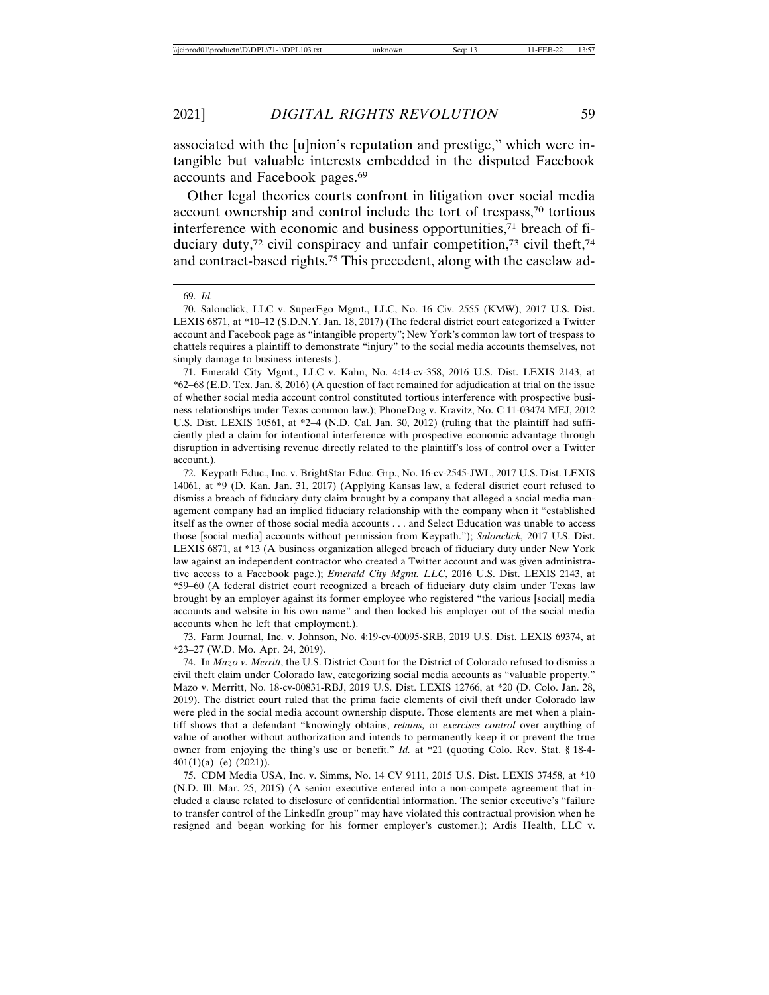associated with the [u]nion's reputation and prestige," which were intangible but valuable interests embedded in the disputed Facebook accounts and Facebook pages.69

Other legal theories courts confront in litigation over social media account ownership and control include the tort of trespass,70 tortious interference with economic and business opportunities,71 breach of fiduciary duty,<sup>72</sup> civil conspiracy and unfair competition,<sup>73</sup> civil theft,<sup>74</sup> and contract-based rights.75 This precedent, along with the caselaw ad-

71. Emerald City Mgmt., LLC v. Kahn, No. 4:14-cv-358, 2016 U.S. Dist. LEXIS 2143, at \*62–68 (E.D. Tex. Jan. 8, 2016) (A question of fact remained for adjudication at trial on the issue of whether social media account control constituted tortious interference with prospective business relationships under Texas common law.); PhoneDog v. Kravitz, No. C 11-03474 MEJ, 2012 U.S. Dist. LEXIS 10561, at \*2–4 (N.D. Cal. Jan. 30, 2012) (ruling that the plaintiff had sufficiently pled a claim for intentional interference with prospective economic advantage through disruption in advertising revenue directly related to the plaintiff's loss of control over a Twitter account.).

72. Keypath Educ., Inc. v. BrightStar Educ. Grp., No. 16-cv-2545-JWL, 2017 U.S. Dist. LEXIS 14061, at \*9 (D. Kan. Jan. 31, 2017) (Applying Kansas law, a federal district court refused to dismiss a breach of fiduciary duty claim brought by a company that alleged a social media management company had an implied fiduciary relationship with the company when it "established itself as the owner of those social media accounts . . . and Select Education was unable to access those [social media] accounts without permission from Keypath."); *Salonclick,* 2017 U.S. Dist. LEXIS 6871, at \*13 (A business organization alleged breach of fiduciary duty under New York law against an independent contractor who created a Twitter account and was given administrative access to a Facebook page.); *Emerald City Mgmt. LLC*, 2016 U.S. Dist. LEXIS 2143, at \*59–60 (A federal district court recognized a breach of fiduciary duty claim under Texas law brought by an employer against its former employee who registered "the various [social] media accounts and website in his own name" and then locked his employer out of the social media accounts when he left that employment.).

73. Farm Journal, Inc. v. Johnson, No. 4:19-cv-00095-SRB, 2019 U.S. Dist. LEXIS 69374, at \*23–27 (W.D. Mo. Apr. 24, 2019).

74. In *Mazo v. Merritt*, the U.S. District Court for the District of Colorado refused to dismiss a civil theft claim under Colorado law, categorizing social media accounts as "valuable property." Mazo v. Merritt, No. 18-cv-00831-RBJ, 2019 U.S. Dist. LEXIS 12766, at \*20 (D. Colo. Jan. 28, 2019). The district court ruled that the prima facie elements of civil theft under Colorado law were pled in the social media account ownership dispute. Those elements are met when a plaintiff shows that a defendant "knowingly obtains, *retains,* or *exercises control* over anything of value of another without authorization and intends to permanently keep it or prevent the true owner from enjoying the thing's use or benefit." *Id.* at \*21 (quoting Colo. Rev. Stat. § 18-4-  $401(1)(a)$ –(e) (2021)).

75. CDM Media USA, Inc. v. Simms, No. 14 CV 9111, 2015 U.S. Dist. LEXIS 37458, at \*10 (N.D. Ill. Mar. 25, 2015) (A senior executive entered into a non-compete agreement that included a clause related to disclosure of confidential information. The senior executive's "failure to transfer control of the LinkedIn group" may have violated this contractual provision when he resigned and began working for his former employer's customer.); Ardis Health, LLC v.

<sup>69.</sup> *Id.*

<sup>70.</sup> Salonclick, LLC v. SuperEgo Mgmt., LLC, No. 16 Civ. 2555 (KMW), 2017 U.S. Dist. LEXIS 6871, at \*10–12 (S.D.N.Y. Jan. 18, 2017) (The federal district court categorized a Twitter account and Facebook page as "intangible property"; New York's common law tort of trespass to chattels requires a plaintiff to demonstrate "injury" to the social media accounts themselves, not simply damage to business interests.).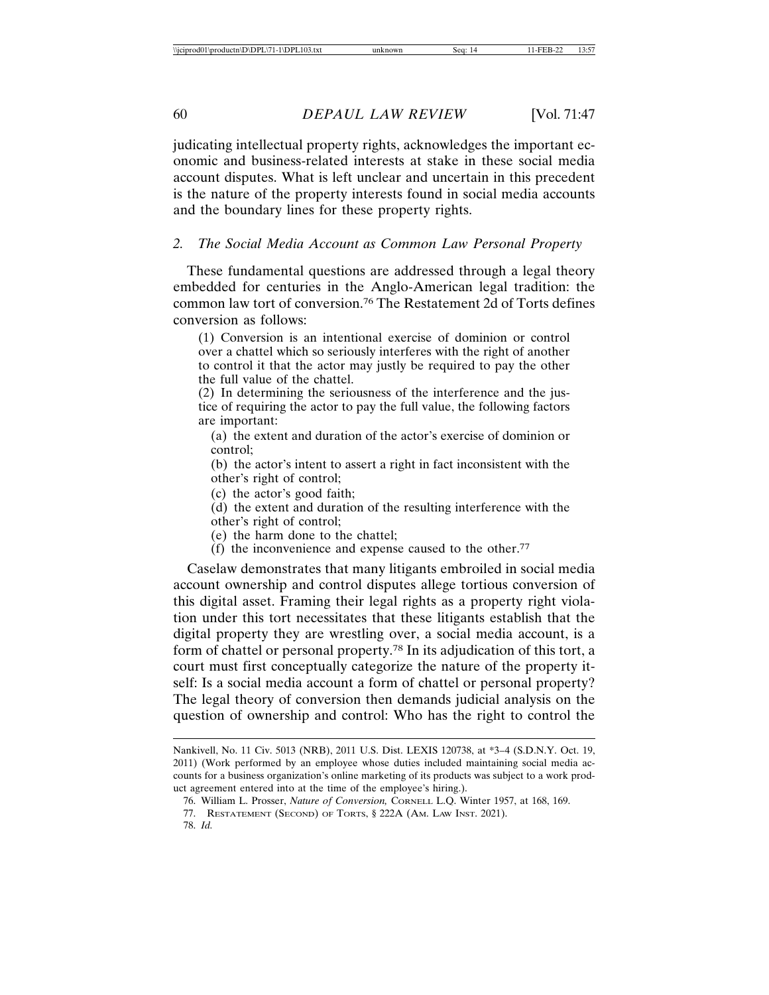judicating intellectual property rights, acknowledges the important economic and business-related interests at stake in these social media account disputes. What is left unclear and uncertain in this precedent is the nature of the property interests found in social media accounts and the boundary lines for these property rights.

### *2. The Social Media Account as Common Law Personal Property*

These fundamental questions are addressed through a legal theory embedded for centuries in the Anglo-American legal tradition: the common law tort of conversion.76 The Restatement 2d of Torts defines conversion as follows:

(1) Conversion is an intentional exercise of dominion or control over a chattel which so seriously interferes with the right of another to control it that the actor may justly be required to pay the other the full value of the chattel.

(2) In determining the seriousness of the interference and the justice of requiring the actor to pay the full value, the following factors are important:

(a) the extent and duration of the actor's exercise of dominion or control;

(b) the actor's intent to assert a right in fact inconsistent with the other's right of control;

(c) the actor's good faith;

(d) the extent and duration of the resulting interference with the

other's right of control;

(e) the harm done to the chattel;

 $(f)$  the inconvenience and expense caused to the other.<sup>77</sup>

Caselaw demonstrates that many litigants embroiled in social media account ownership and control disputes allege tortious conversion of this digital asset. Framing their legal rights as a property right violation under this tort necessitates that these litigants establish that the digital property they are wrestling over, a social media account, is a form of chattel or personal property.78 In its adjudication of this tort, a court must first conceptually categorize the nature of the property itself: Is a social media account a form of chattel or personal property? The legal theory of conversion then demands judicial analysis on the question of ownership and control: Who has the right to control the

Nankivell, No. 11 Civ. 5013 (NRB), 2011 U.S. Dist. LEXIS 120738, at \*3–4 (S.D.N.Y. Oct. 19, 2011) (Work performed by an employee whose duties included maintaining social media accounts for a business organization's online marketing of its products was subject to a work product agreement entered into at the time of the employee's hiring.).

<sup>76.</sup> William L. Prosser, *Nature of Conversion,* CORNELL L.Q. Winter 1957, at 168, 169.

<sup>77.</sup> RESTATEMENT (SECOND) OF TORTS, § 222A (AM. LAW INST. 2021).

<sup>78.</sup> *Id.*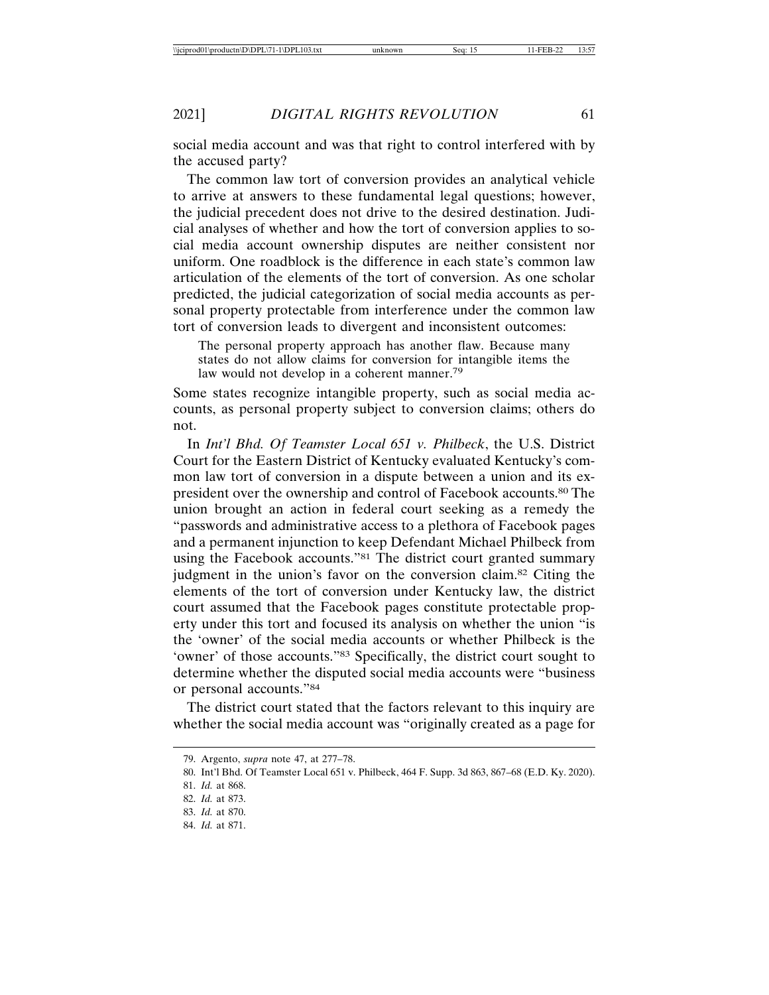social media account and was that right to control interfered with by the accused party?

The common law tort of conversion provides an analytical vehicle to arrive at answers to these fundamental legal questions; however, the judicial precedent does not drive to the desired destination. Judicial analyses of whether and how the tort of conversion applies to social media account ownership disputes are neither consistent nor uniform. One roadblock is the difference in each state's common law articulation of the elements of the tort of conversion. As one scholar predicted, the judicial categorization of social media accounts as personal property protectable from interference under the common law tort of conversion leads to divergent and inconsistent outcomes:

The personal property approach has another flaw. Because many states do not allow claims for conversion for intangible items the law would not develop in a coherent manner.<sup>79</sup>

Some states recognize intangible property, such as social media accounts, as personal property subject to conversion claims; others do not.

In *Int'l Bhd. Of Teamster Local 651 v. Philbeck*, the U.S. District Court for the Eastern District of Kentucky evaluated Kentucky's common law tort of conversion in a dispute between a union and its expresident over the ownership and control of Facebook accounts.80 The union brought an action in federal court seeking as a remedy the "passwords and administrative access to a plethora of Facebook pages and a permanent injunction to keep Defendant Michael Philbeck from using the Facebook accounts."81 The district court granted summary judgment in the union's favor on the conversion claim.82 Citing the elements of the tort of conversion under Kentucky law, the district court assumed that the Facebook pages constitute protectable property under this tort and focused its analysis on whether the union "is the 'owner' of the social media accounts or whether Philbeck is the 'owner' of those accounts."<sup>83</sup> Specifically, the district court sought to determine whether the disputed social media accounts were "business or personal accounts."84

The district court stated that the factors relevant to this inquiry are whether the social media account was "originally created as a page for

<sup>79.</sup> Argento, *supra* note 47, at 277–78.

<sup>80.</sup> Int'l Bhd. Of Teamster Local 651 v. Philbeck, 464 F. Supp. 3d 863, 867–68 (E.D. Ky. 2020). 81. *Id.* at 868.

<sup>82.</sup> *Id.* at 873.

<sup>83.</sup> *Id.* at 870.

<sup>84.</sup> *Id.* at 871.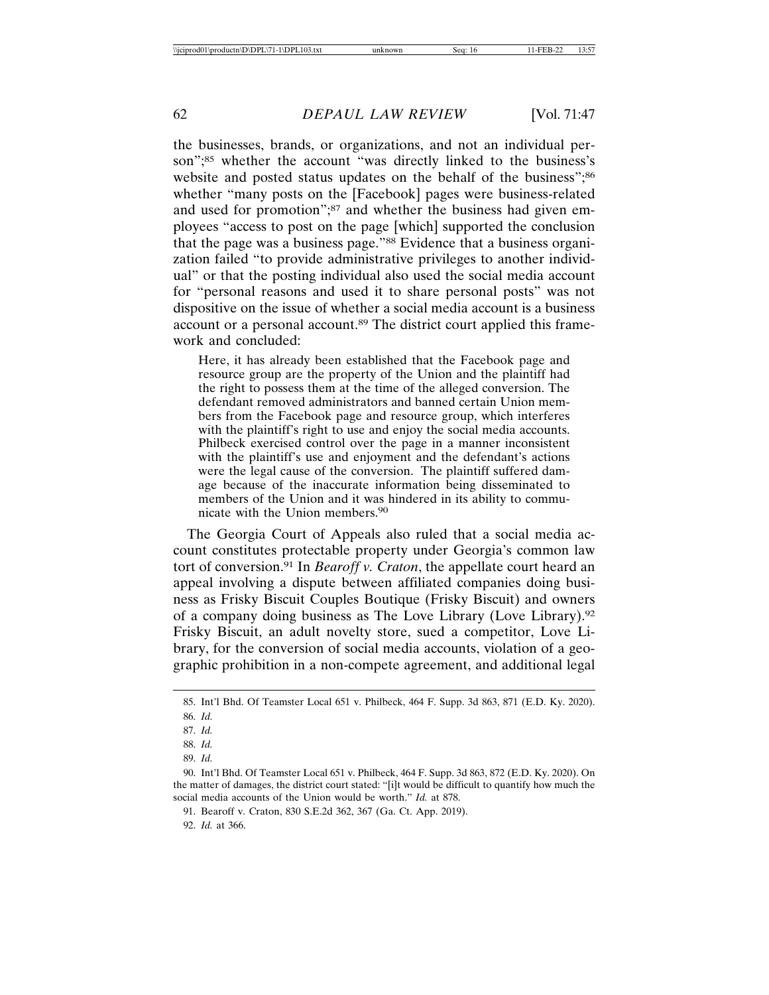the businesses, brands, or organizations, and not an individual person";<sup>85</sup> whether the account "was directly linked to the business's website and posted status updates on the behalf of the business";<sup>86</sup> whether "many posts on the [Facebook] pages were business-related and used for promotion";87 and whether the business had given employees "access to post on the page [which] supported the conclusion that the page was a business page."88 Evidence that a business organization failed "to provide administrative privileges to another individual" or that the posting individual also used the social media account for "personal reasons and used it to share personal posts" was not dispositive on the issue of whether a social media account is a business account or a personal account.89 The district court applied this framework and concluded:

Here, it has already been established that the Facebook page and resource group are the property of the Union and the plaintiff had the right to possess them at the time of the alleged conversion. The defendant removed administrators and banned certain Union members from the Facebook page and resource group, which interferes with the plaintiff's right to use and enjoy the social media accounts. Philbeck exercised control over the page in a manner inconsistent with the plaintiff's use and enjoyment and the defendant's actions were the legal cause of the conversion. The plaintiff suffered damage because of the inaccurate information being disseminated to members of the Union and it was hindered in its ability to communicate with the Union members.90

The Georgia Court of Appeals also ruled that a social media account constitutes protectable property under Georgia's common law tort of conversion.91 In *Bearoff v. Craton*, the appellate court heard an appeal involving a dispute between affiliated companies doing business as Frisky Biscuit Couples Boutique (Frisky Biscuit) and owners of a company doing business as The Love Library (Love Library).92 Frisky Biscuit, an adult novelty store, sued a competitor, Love Library, for the conversion of social media accounts, violation of a geographic prohibition in a non-compete agreement, and additional legal

92. *Id.* at 366.

<sup>85.</sup> Int'l Bhd. Of Teamster Local 651 v. Philbeck, 464 F. Supp. 3d 863, 871 (E.D. Ky. 2020). 86. *Id.*

<sup>87.</sup> *Id.*

<sup>88.</sup> *Id.*

<sup>89.</sup> *Id.*

<sup>90.</sup> Int'l Bhd. Of Teamster Local 651 v. Philbeck, 464 F. Supp. 3d 863, 872 (E.D. Ky. 2020). On the matter of damages, the district court stated: "[i]t would be difficult to quantify how much the social media accounts of the Union would be worth." *Id.* at 878.

<sup>91.</sup> Bearoff v. Craton, 830 S.E.2d 362, 367 (Ga. Ct. App. 2019).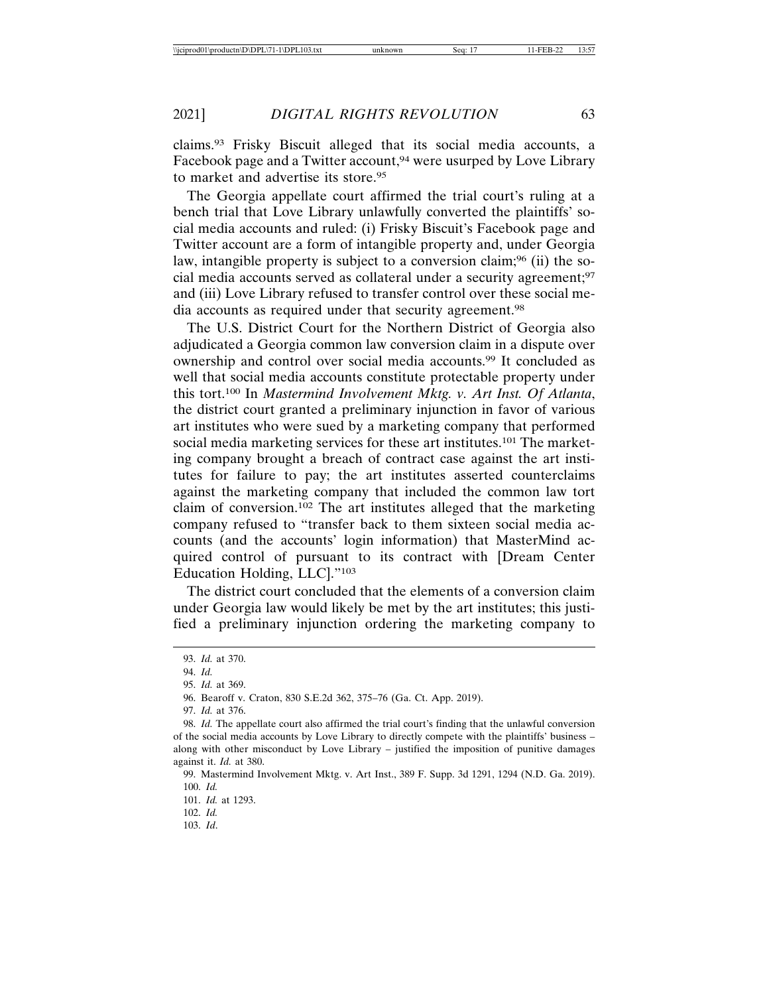claims.93 Frisky Biscuit alleged that its social media accounts, a Facebook page and a Twitter account,<sup>94</sup> were usurped by Love Library to market and advertise its store.95

The Georgia appellate court affirmed the trial court's ruling at a bench trial that Love Library unlawfully converted the plaintiffs' social media accounts and ruled: (i) Frisky Biscuit's Facebook page and Twitter account are a form of intangible property and, under Georgia law, intangible property is subject to a conversion claim;<sup>96</sup> (ii) the social media accounts served as collateral under a security agreement;97 and (iii) Love Library refused to transfer control over these social media accounts as required under that security agreement.98

The U.S. District Court for the Northern District of Georgia also adjudicated a Georgia common law conversion claim in a dispute over ownership and control over social media accounts.99 It concluded as well that social media accounts constitute protectable property under this tort.100 In *Mastermind Involvement Mktg. v. Art Inst. Of Atlanta*, the district court granted a preliminary injunction in favor of various art institutes who were sued by a marketing company that performed social media marketing services for these art institutes.<sup>101</sup> The marketing company brought a breach of contract case against the art institutes for failure to pay; the art institutes asserted counterclaims against the marketing company that included the common law tort claim of conversion.102 The art institutes alleged that the marketing company refused to "transfer back to them sixteen social media accounts (and the accounts' login information) that MasterMind acquired control of pursuant to its contract with [Dream Center Education Holding, LLC]."103

The district court concluded that the elements of a conversion claim under Georgia law would likely be met by the art institutes; this justified a preliminary injunction ordering the marketing company to

97. *Id.* at 376.

<sup>93.</sup> *Id.* at 370.

<sup>94.</sup> *Id.*

<sup>95.</sup> *Id.* at 369.

<sup>96.</sup> Bearoff v. Craton, 830 S.E.2d 362, 375–76 (Ga. Ct. App. 2019).

<sup>98.</sup> *Id.* The appellate court also affirmed the trial court's finding that the unlawful conversion of the social media accounts by Love Library to directly compete with the plaintiffs' business – along with other misconduct by Love Library – justified the imposition of punitive damages against it. *Id.* at 380.

<sup>99.</sup> Mastermind Involvement Mktg. v. Art Inst., 389 F. Supp. 3d 1291, 1294 (N.D. Ga. 2019). 100. *Id.*

<sup>101.</sup> *Id.* at 1293.

<sup>102.</sup> *Id.*

<sup>103.</sup> *Id*.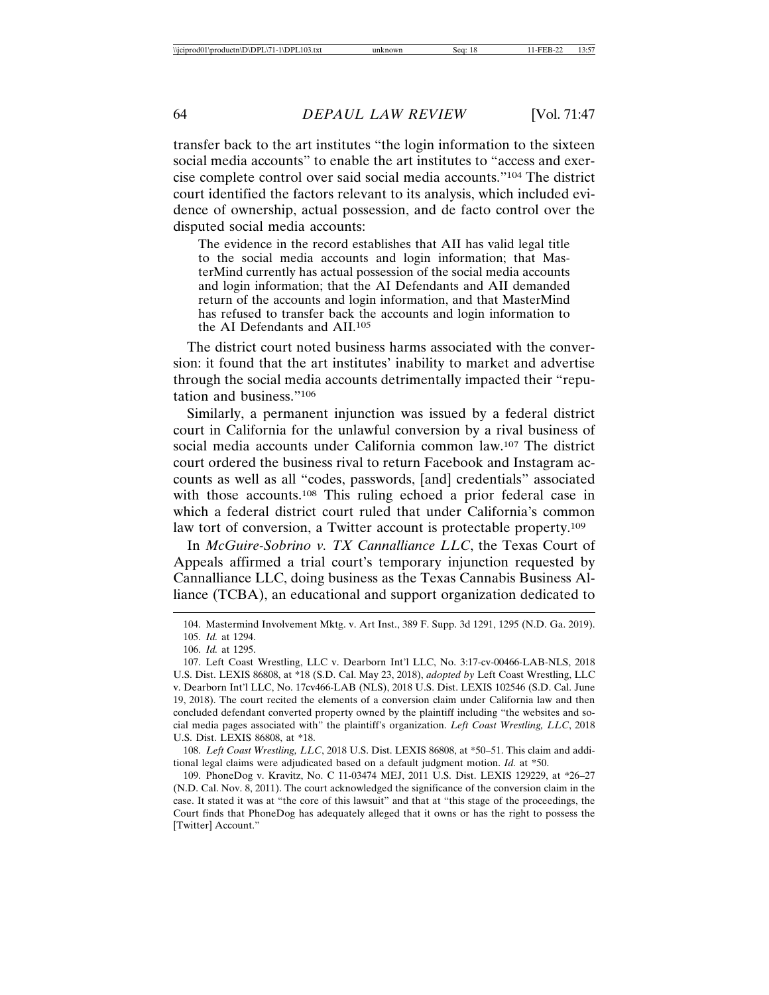transfer back to the art institutes "the login information to the sixteen social media accounts" to enable the art institutes to "access and exercise complete control over said social media accounts."104 The district court identified the factors relevant to its analysis, which included evidence of ownership, actual possession, and de facto control over the disputed social media accounts:

The evidence in the record establishes that AII has valid legal title to the social media accounts and login information; that MasterMind currently has actual possession of the social media accounts and login information; that the AI Defendants and AII demanded return of the accounts and login information, and that MasterMind has refused to transfer back the accounts and login information to the AI Defendants and AII.105

The district court noted business harms associated with the conversion: it found that the art institutes' inability to market and advertise through the social media accounts detrimentally impacted their "reputation and business."106

Similarly, a permanent injunction was issued by a federal district court in California for the unlawful conversion by a rival business of social media accounts under California common law.107 The district court ordered the business rival to return Facebook and Instagram accounts as well as all "codes, passwords, [and] credentials" associated with those accounts.<sup>108</sup> This ruling echoed a prior federal case in which a federal district court ruled that under California's common law tort of conversion, a Twitter account is protectable property.<sup>109</sup>

In *McGuire-Sobrino v. TX Cannalliance LLC*, the Texas Court of Appeals affirmed a trial court's temporary injunction requested by Cannalliance LLC, doing business as the Texas Cannabis Business Alliance (TCBA), an educational and support organization dedicated to

108. *Left Coast Wrestling, LLC*, 2018 U.S. Dist. LEXIS 86808, at \*50–51. This claim and additional legal claims were adjudicated based on a default judgment motion. *Id.* at \*50.

109. PhoneDog v. Kravitz, No. C 11-03474 MEJ, 2011 U.S. Dist. LEXIS 129229, at \*26–27 (N.D. Cal. Nov. 8, 2011). The court acknowledged the significance of the conversion claim in the case. It stated it was at "the core of this lawsuit" and that at "this stage of the proceedings, the Court finds that PhoneDog has adequately alleged that it owns or has the right to possess the [Twitter] Account."

<sup>104.</sup> Mastermind Involvement Mktg. v. Art Inst., 389 F. Supp. 3d 1291, 1295 (N.D. Ga. 2019). 105. *Id.* at 1294.

<sup>106.</sup> *Id.* at 1295.

<sup>107.</sup> Left Coast Wrestling, LLC v. Dearborn Int'l LLC, No. 3:17-cv-00466-LAB-NLS, 2018 U.S. Dist. LEXIS 86808, at \*18 (S.D. Cal. May 23, 2018), *adopted by* Left Coast Wrestling, LLC v. Dearborn Int'l LLC, No. 17cv466-LAB (NLS), 2018 U.S. Dist. LEXIS 102546 (S.D. Cal. June 19, 2018). The court recited the elements of a conversion claim under California law and then concluded defendant converted property owned by the plaintiff including "the websites and social media pages associated with" the plaintiff's organization. *Left Coast Wrestling, LLC*, 2018 U.S. Dist. LEXIS 86808, at \*18.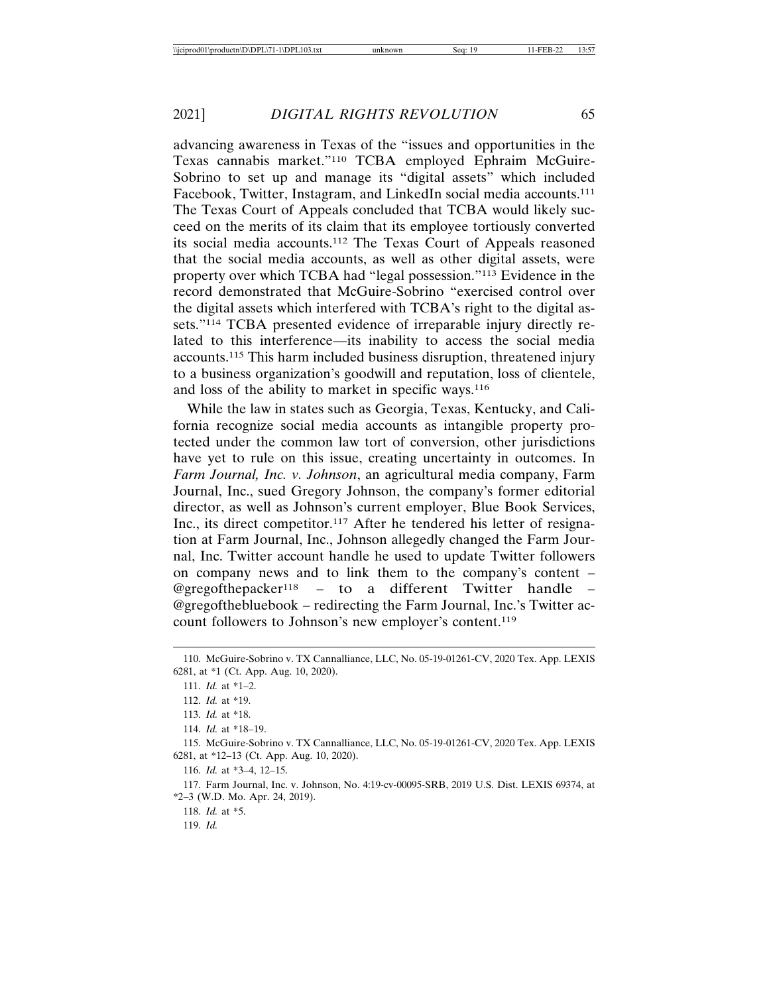advancing awareness in Texas of the "issues and opportunities in the Texas cannabis market."110 TCBA employed Ephraim McGuire-Sobrino to set up and manage its "digital assets" which included Facebook, Twitter, Instagram, and LinkedIn social media accounts.<sup>111</sup> The Texas Court of Appeals concluded that TCBA would likely succeed on the merits of its claim that its employee tortiously converted its social media accounts.112 The Texas Court of Appeals reasoned that the social media accounts, as well as other digital assets, were property over which TCBA had "legal possession."113 Evidence in the record demonstrated that McGuire-Sobrino "exercised control over the digital assets which interfered with TCBA's right to the digital assets."114 TCBA presented evidence of irreparable injury directly related to this interference—its inability to access the social media accounts.115 This harm included business disruption, threatened injury to a business organization's goodwill and reputation, loss of clientele, and loss of the ability to market in specific ways.116

While the law in states such as Georgia, Texas, Kentucky, and California recognize social media accounts as intangible property protected under the common law tort of conversion, other jurisdictions have yet to rule on this issue, creating uncertainty in outcomes. In *Farm Journal, Inc. v. Johnson*, an agricultural media company, Farm Journal, Inc., sued Gregory Johnson, the company's former editorial director, as well as Johnson's current employer, Blue Book Services, Inc., its direct competitor.117 After he tendered his letter of resignation at Farm Journal, Inc., Johnson allegedly changed the Farm Journal, Inc. Twitter account handle he used to update Twitter followers on company news and to link them to the company's content – @gregofthepacker<sup>118</sup> – to a different Twitter handle – @gregofthebluebook – redirecting the Farm Journal, Inc.'s Twitter account followers to Johnson's new employer's content.119

117. Farm Journal, Inc. v. Johnson, No. 4:19-cv-00095-SRB, 2019 U.S. Dist. LEXIS 69374, at \*2–3 (W.D. Mo. Apr. 24, 2019).

118. *Id.* at \*5.

119. *Id.*

<sup>110.</sup> McGuire-Sobrino v. TX Cannalliance, LLC, No. 05-19-01261-CV, 2020 Tex. App. LEXIS 6281, at \*1 (Ct. App. Aug. 10, 2020).

<sup>111.</sup> *Id.* at \*1–2.

<sup>112.</sup> *Id.* at \*19.

<sup>113.</sup> *Id.* at \*18.

<sup>114.</sup> *Id.* at \*18–19.

<sup>115.</sup> McGuire-Sobrino v. TX Cannalliance, LLC, No. 05-19-01261-CV, 2020 Tex. App. LEXIS 6281, at \*12–13 (Ct. App. Aug. 10, 2020).

<sup>116.</sup> *Id.* at \*3–4, 12–15.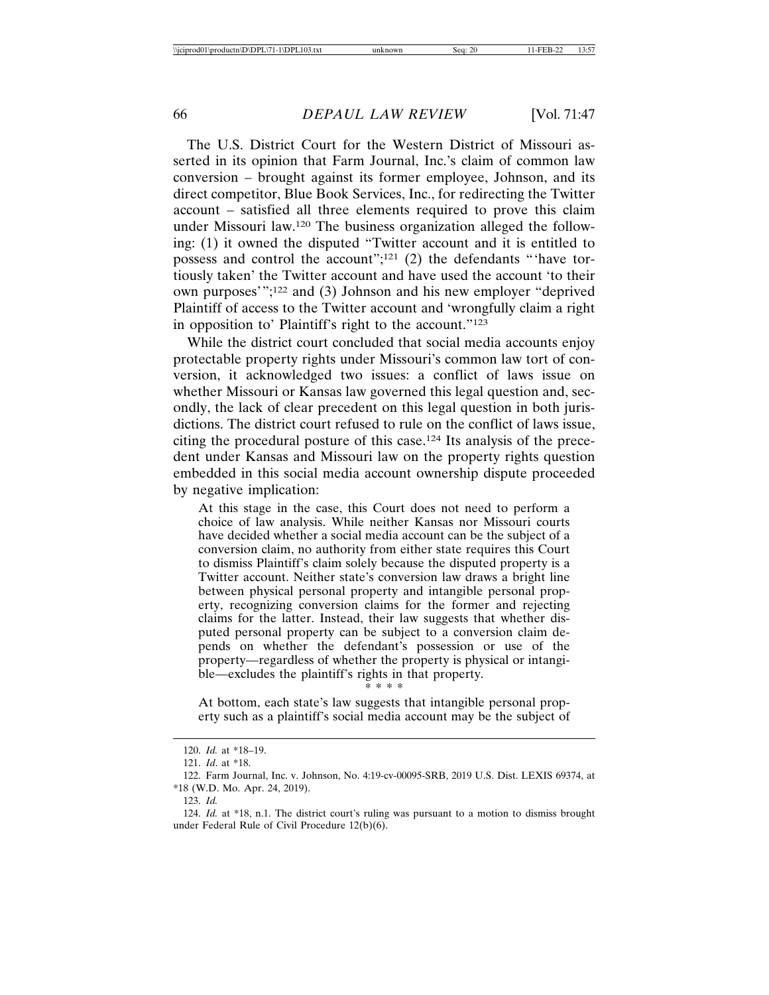The U.S. District Court for the Western District of Missouri asserted in its opinion that Farm Journal, Inc.'s claim of common law conversion – brought against its former employee, Johnson, and its direct competitor, Blue Book Services, Inc., for redirecting the Twitter account – satisfied all three elements required to prove this claim under Missouri law.120 The business organization alleged the following: (1) it owned the disputed "Twitter account and it is entitled to possess and control the account";121 (2) the defendants "'have tortiously taken' the Twitter account and have used the account 'to their own purposes'";122 and (3) Johnson and his new employer "deprived Plaintiff of access to the Twitter account and 'wrongfully claim a right in opposition to' Plaintiff's right to the account."<sup>123</sup>

While the district court concluded that social media accounts enjoy protectable property rights under Missouri's common law tort of conversion, it acknowledged two issues: a conflict of laws issue on whether Missouri or Kansas law governed this legal question and, secondly, the lack of clear precedent on this legal question in both jurisdictions. The district court refused to rule on the conflict of laws issue, citing the procedural posture of this case.124 Its analysis of the precedent under Kansas and Missouri law on the property rights question embedded in this social media account ownership dispute proceeded by negative implication:

At this stage in the case, this Court does not need to perform a choice of law analysis. While neither Kansas nor Missouri courts have decided whether a social media account can be the subject of a conversion claim, no authority from either state requires this Court to dismiss Plaintiff's claim solely because the disputed property is a Twitter account. Neither state's conversion law draws a bright line between physical personal property and intangible personal property, recognizing conversion claims for the former and rejecting claims for the latter. Instead, their law suggests that whether disputed personal property can be subject to a conversion claim depends on whether the defendant's possession or use of the property—regardless of whether the property is physical or intangible—excludes the plaintiff's rights in that property.

### \* \* \* \*

At bottom, each state's law suggests that intangible personal property such as a plaintiff's social media account may be the subject of

123. *Id.*

<sup>120.</sup> *Id.* at \*18–19.

<sup>121.</sup> *Id*. at \*18.

<sup>122.</sup> Farm Journal, Inc. v. Johnson, No. 4:19-cv-00095-SRB, 2019 U.S. Dist. LEXIS 69374, at \*18 (W.D. Mo. Apr. 24, 2019).

<sup>124.</sup> *Id.* at \*18, n.1. The district court's ruling was pursuant to a motion to dismiss brought under Federal Rule of Civil Procedure 12(b)(6).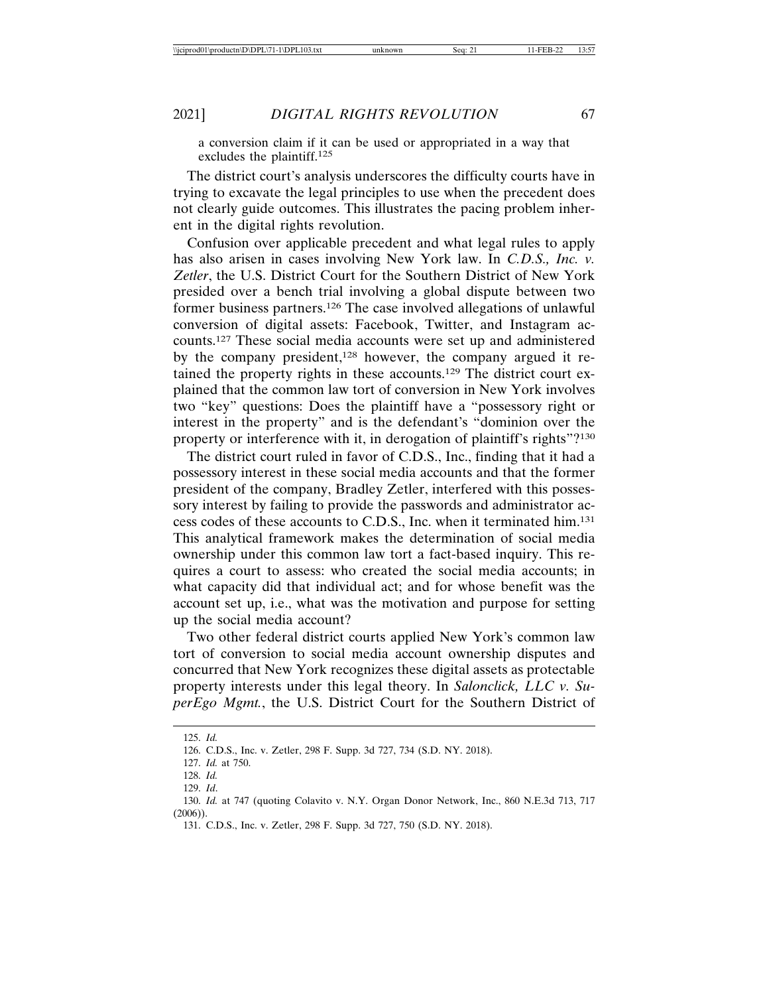a conversion claim if it can be used or appropriated in a way that excludes the plaintiff.125

The district court's analysis underscores the difficulty courts have in trying to excavate the legal principles to use when the precedent does not clearly guide outcomes. This illustrates the pacing problem inherent in the digital rights revolution.

Confusion over applicable precedent and what legal rules to apply has also arisen in cases involving New York law. In *C.D.S., Inc. v. Zetler*, the U.S. District Court for the Southern District of New York presided over a bench trial involving a global dispute between two former business partners.126 The case involved allegations of unlawful conversion of digital assets: Facebook, Twitter, and Instagram accounts.127 These social media accounts were set up and administered by the company president,<sup>128</sup> however, the company argued it retained the property rights in these accounts.129 The district court explained that the common law tort of conversion in New York involves two "key" questions: Does the plaintiff have a "possessory right or interest in the property" and is the defendant's "dominion over the property or interference with it, in derogation of plaintiff's rights"?130

The district court ruled in favor of C.D.S., Inc., finding that it had a possessory interest in these social media accounts and that the former president of the company, Bradley Zetler, interfered with this possessory interest by failing to provide the passwords and administrator access codes of these accounts to C.D.S., Inc. when it terminated him.131 This analytical framework makes the determination of social media ownership under this common law tort a fact-based inquiry. This requires a court to assess: who created the social media accounts; in what capacity did that individual act; and for whose benefit was the account set up, i.e., what was the motivation and purpose for setting up the social media account?

Two other federal district courts applied New York's common law tort of conversion to social media account ownership disputes and concurred that New York recognizes these digital assets as protectable property interests under this legal theory. In *Salonclick, LLC v. SuperEgo Mgmt.*, the U.S. District Court for the Southern District of

<sup>125.</sup> *Id.*

<sup>126.</sup> C.D.S., Inc. v. Zetler, 298 F. Supp. 3d 727, 734 (S.D. NY. 2018).

<sup>127.</sup> *Id.* at 750.

<sup>128.</sup> *Id.*

<sup>129.</sup> *Id*.

<sup>130.</sup> *Id.* at 747 (quoting Colavito v. N.Y. Organ Donor Network, Inc., 860 N.E.3d 713, 717  $(2006)$ ).

<sup>131.</sup> C.D.S., Inc. v. Zetler, 298 F. Supp. 3d 727, 750 (S.D. NY. 2018).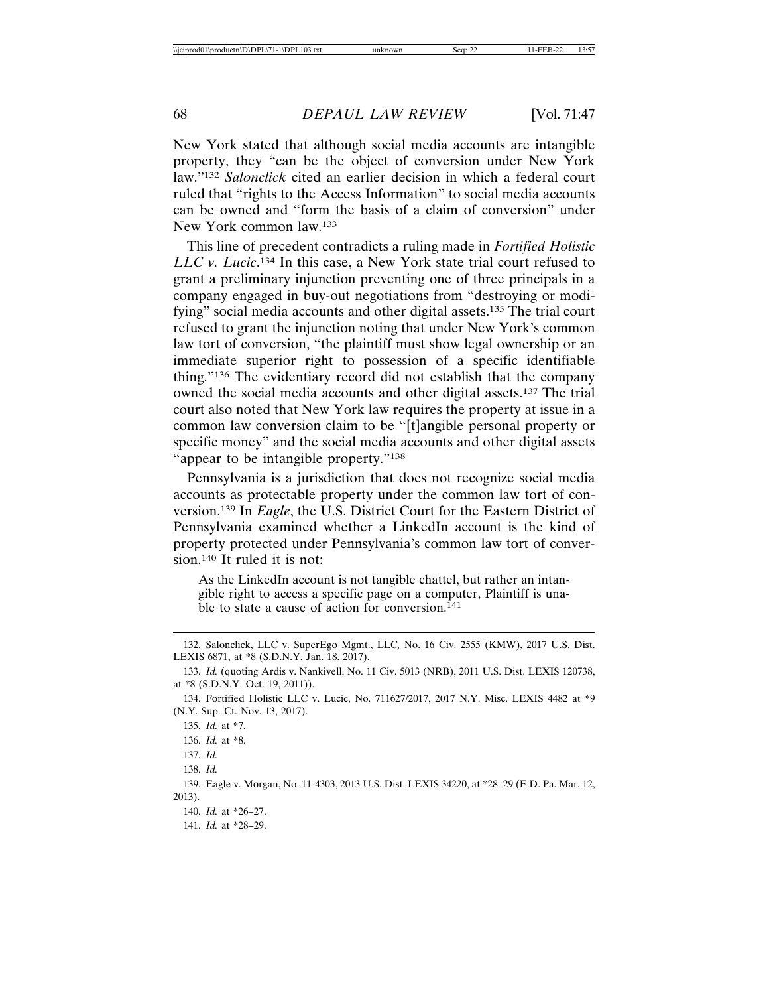New York stated that although social media accounts are intangible property, they "can be the object of conversion under New York law."132 *Salonclick* cited an earlier decision in which a federal court ruled that "rights to the Access Information" to social media accounts can be owned and "form the basis of a claim of conversion" under New York common law.133

This line of precedent contradicts a ruling made in *Fortified Holistic LLC v. Lucic*. 134 In this case, a New York state trial court refused to grant a preliminary injunction preventing one of three principals in a company engaged in buy-out negotiations from "destroying or modifying" social media accounts and other digital assets.135 The trial court refused to grant the injunction noting that under New York's common law tort of conversion, "the plaintiff must show legal ownership or an immediate superior right to possession of a specific identifiable thing."136 The evidentiary record did not establish that the company owned the social media accounts and other digital assets.137 The trial court also noted that New York law requires the property at issue in a common law conversion claim to be "[t]angible personal property or specific money" and the social media accounts and other digital assets "appear to be intangible property."<sup>138</sup>

Pennsylvania is a jurisdiction that does not recognize social media accounts as protectable property under the common law tort of conversion.139 In *Eagle*, the U.S. District Court for the Eastern District of Pennsylvania examined whether a LinkedIn account is the kind of property protected under Pennsylvania's common law tort of conversion.140 It ruled it is not:

As the LinkedIn account is not tangible chattel, but rather an intangible right to access a specific page on a computer, Plaintiff is unable to state a cause of action for conversion.<sup>141</sup>

<sup>132.</sup> Salonclick, LLC v. SuperEgo Mgmt., LLC*,* No. 16 Civ. 2555 (KMW), 2017 U.S. Dist. LEXIS 6871, at \*8 (S.D.N.Y. Jan. 18, 2017).

<sup>133.</sup> *Id.* (quoting Ardis v. Nankivell, No. 11 Civ. 5013 (NRB), 2011 U.S. Dist. LEXIS 120738, at \*8 (S.D.N.Y. Oct. 19, 2011)).

<sup>134.</sup> Fortified Holistic LLC v. Lucic, No. 711627/2017, 2017 N.Y. Misc. LEXIS 4482 at \*9 (N.Y. Sup. Ct. Nov. 13, 2017).

<sup>135.</sup> *Id.* at \*7.

<sup>136.</sup> *Id.* at \*8.

<sup>137.</sup> *Id.*

<sup>138.</sup> *Id.*

<sup>139.</sup> Eagle v. Morgan, No. 11-4303, 2013 U.S. Dist. LEXIS 34220, at \*28–29 (E.D. Pa. Mar. 12, 2013).

<sup>140.</sup> *Id.* at \*26–27.

<sup>141.</sup> *Id.* at \*28–29.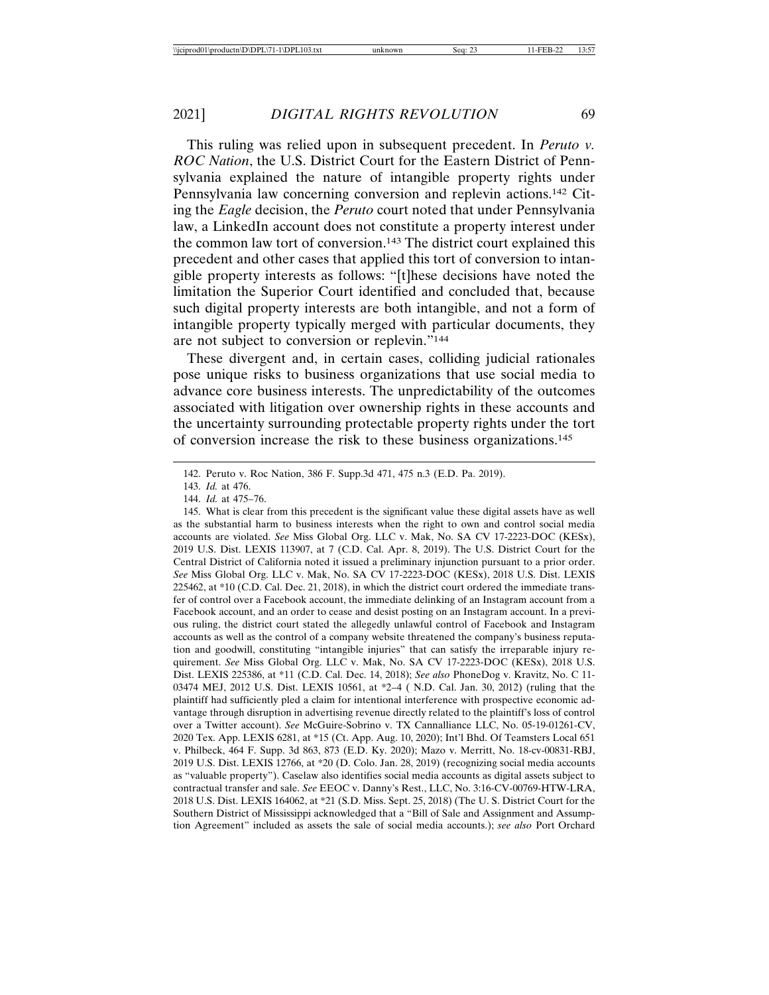This ruling was relied upon in subsequent precedent. In *Peruto v. ROC Nation*, the U.S. District Court for the Eastern District of Pennsylvania explained the nature of intangible property rights under Pennsylvania law concerning conversion and replevin actions.142 Citing the *Eagle* decision, the *Peruto* court noted that under Pennsylvania law, a LinkedIn account does not constitute a property interest under the common law tort of conversion.143 The district court explained this precedent and other cases that applied this tort of conversion to intangible property interests as follows: "[t]hese decisions have noted the limitation the Superior Court identified and concluded that, because such digital property interests are both intangible, and not a form of intangible property typically merged with particular documents, they are not subject to conversion or replevin."144

These divergent and, in certain cases, colliding judicial rationales pose unique risks to business organizations that use social media to advance core business interests. The unpredictability of the outcomes associated with litigation over ownership rights in these accounts and the uncertainty surrounding protectable property rights under the tort of conversion increase the risk to these business organizations.145

145. What is clear from this precedent is the significant value these digital assets have as well as the substantial harm to business interests when the right to own and control social media accounts are violated. *See* Miss Global Org. LLC v. Mak, No. SA CV 17-2223-DOC (KESx), 2019 U.S. Dist. LEXIS 113907, at 7 (C.D. Cal. Apr. 8, 2019). The U.S. District Court for the Central District of California noted it issued a preliminary injunction pursuant to a prior order. *See* Miss Global Org. LLC v. Mak, No. SA CV 17-2223-DOC (KESx), 2018 U.S. Dist. LEXIS 225462, at \*10 (C.D. Cal. Dec. 21, 2018), in which the district court ordered the immediate transfer of control over a Facebook account, the immediate delinking of an Instagram account from a Facebook account, and an order to cease and desist posting on an Instagram account. In a previous ruling, the district court stated the allegedly unlawful control of Facebook and Instagram accounts as well as the control of a company website threatened the company's business reputation and goodwill, constituting "intangible injuries" that can satisfy the irreparable injury requirement. *See* Miss Global Org. LLC v. Mak, No. SA CV 17-2223-DOC (KESx), 2018 U.S. Dist. LEXIS 225386, at \*11 (C.D. Cal. Dec. 14, 2018); *See also* PhoneDog v. Kravitz, No. C 11- 03474 MEJ, 2012 U.S. Dist. LEXIS 10561, at \*2–4 ( N.D. Cal. Jan. 30, 2012) (ruling that the plaintiff had sufficiently pled a claim for intentional interference with prospective economic advantage through disruption in advertising revenue directly related to the plaintiff's loss of control over a Twitter account). *See* McGuire-Sobrino v. TX Cannalliance LLC, No. 05-19-01261-CV, 2020 Tex. App. LEXIS 6281, at \*15 (Ct. App. Aug. 10, 2020); Int'l Bhd. Of Teamsters Local 651 v. Philbeck, 464 F. Supp. 3d 863, 873 (E.D. Ky. 2020); Mazo v. Merritt, No. 18-cv-00831-RBJ, 2019 U.S. Dist. LEXIS 12766, at \*20 (D. Colo. Jan. 28, 2019) (recognizing social media accounts as "valuable property"). Caselaw also identifies social media accounts as digital assets subject to contractual transfer and sale. *See* EEOC v. Danny's Rest., LLC, No. 3:16-CV-00769-HTW-LRA, 2018 U.S. Dist. LEXIS 164062, at \*21 (S.D. Miss. Sept. 25, 2018) (The U. S. District Court for the Southern District of Mississippi acknowledged that a "Bill of Sale and Assignment and Assumption Agreement" included as assets the sale of social media accounts.); *see also* Port Orchard

<sup>142.</sup> Peruto v. Roc Nation, 386 F. Supp.3d 471, 475 n.3 (E.D. Pa. 2019).

<sup>143.</sup> *Id.* at 476.

<sup>144.</sup> *Id.* at 475–76.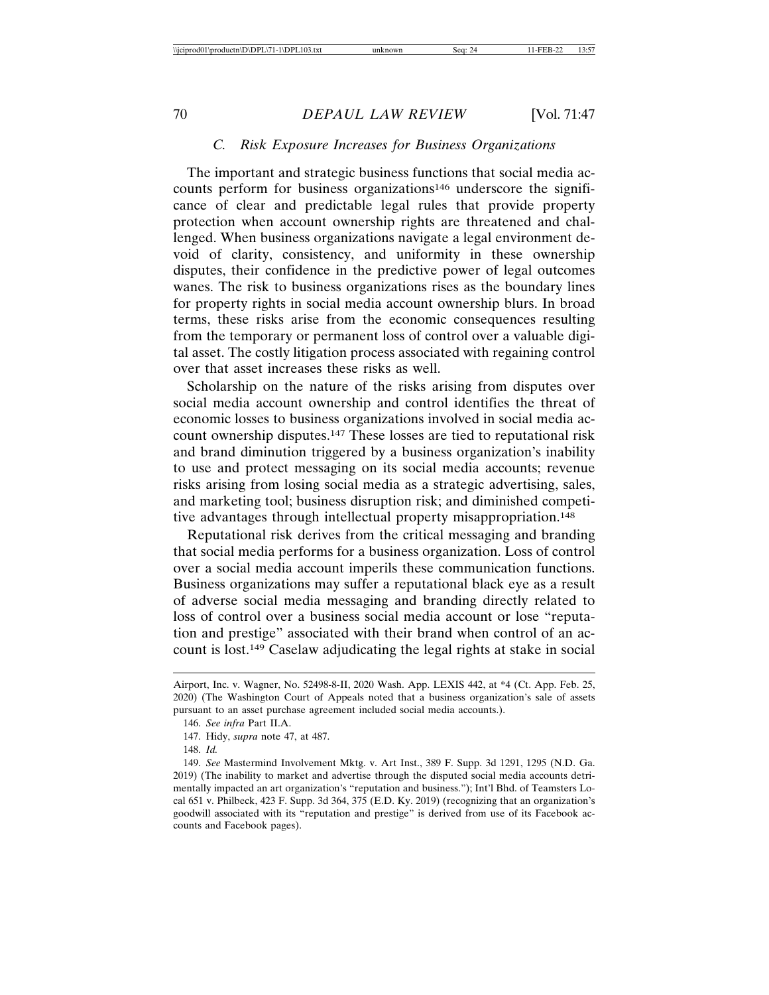### *C. Risk Exposure Increases for Business Organizations*

The important and strategic business functions that social media accounts perform for business organizations<sup>146</sup> underscore the significance of clear and predictable legal rules that provide property protection when account ownership rights are threatened and challenged. When business organizations navigate a legal environment devoid of clarity, consistency, and uniformity in these ownership disputes, their confidence in the predictive power of legal outcomes wanes. The risk to business organizations rises as the boundary lines for property rights in social media account ownership blurs. In broad terms, these risks arise from the economic consequences resulting from the temporary or permanent loss of control over a valuable digital asset. The costly litigation process associated with regaining control over that asset increases these risks as well.

Scholarship on the nature of the risks arising from disputes over social media account ownership and control identifies the threat of economic losses to business organizations involved in social media account ownership disputes.147 These losses are tied to reputational risk and brand diminution triggered by a business organization's inability to use and protect messaging on its social media accounts; revenue risks arising from losing social media as a strategic advertising, sales, and marketing tool; business disruption risk; and diminished competitive advantages through intellectual property misappropriation.148

Reputational risk derives from the critical messaging and branding that social media performs for a business organization. Loss of control over a social media account imperils these communication functions. Business organizations may suffer a reputational black eye as a result of adverse social media messaging and branding directly related to loss of control over a business social media account or lose "reputation and prestige" associated with their brand when control of an account is lost.149 Caselaw adjudicating the legal rights at stake in social

Airport, Inc. v. Wagner, No. 52498-8-II, 2020 Wash. App. LEXIS 442, at \*4 (Ct. App. Feb. 25, 2020) (The Washington Court of Appeals noted that a business organization's sale of assets pursuant to an asset purchase agreement included social media accounts.).

<sup>146.</sup> *See infra* Part II.A.

<sup>147.</sup> Hidy, *supra* note 47, at 487.

<sup>148.</sup> *Id.*

<sup>149.</sup> *See* Mastermind Involvement Mktg. v. Art Inst., 389 F. Supp. 3d 1291, 1295 (N.D. Ga. 2019) (The inability to market and advertise through the disputed social media accounts detrimentally impacted an art organization's "reputation and business."); Int'l Bhd. of Teamsters Local 651 v. Philbeck, 423 F. Supp. 3d 364, 375 (E.D. Ky. 2019) (recognizing that an organization's goodwill associated with its "reputation and prestige" is derived from use of its Facebook accounts and Facebook pages).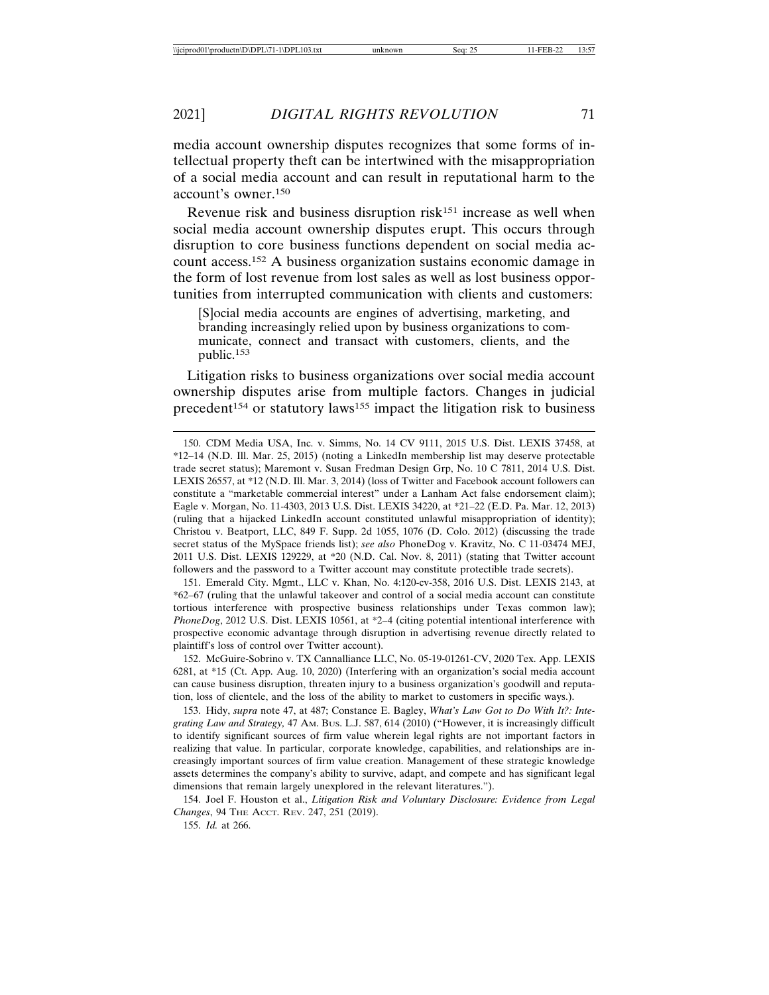media account ownership disputes recognizes that some forms of intellectual property theft can be intertwined with the misappropriation of a social media account and can result in reputational harm to the account's owner.150

Revenue risk and business disruption risk<sup>151</sup> increase as well when social media account ownership disputes erupt. This occurs through disruption to core business functions dependent on social media account access.152 A business organization sustains economic damage in the form of lost revenue from lost sales as well as lost business opportunities from interrupted communication with clients and customers:

[S]ocial media accounts are engines of advertising, marketing, and branding increasingly relied upon by business organizations to communicate, connect and transact with customers, clients, and the public.<sup>153</sup>

Litigation risks to business organizations over social media account ownership disputes arise from multiple factors. Changes in judicial precedent<sup>154</sup> or statutory laws<sup>155</sup> impact the litigation risk to business

151. Emerald City. Mgmt., LLC v. Khan, No. 4:120-cv-358, 2016 U.S. Dist. LEXIS 2143, at \*62–67 (ruling that the unlawful takeover and control of a social media account can constitute tortious interference with prospective business relationships under Texas common law); *PhoneDog*, 2012 U.S. Dist. LEXIS 10561, at \*2–4 (citing potential intentional interference with prospective economic advantage through disruption in advertising revenue directly related to plaintiff's loss of control over Twitter account).

152. McGuire-Sobrino v. TX Cannalliance LLC, No. 05-19-01261-CV, 2020 Tex. App. LEXIS 6281, at \*15 (Ct. App. Aug. 10, 2020) (Interfering with an organization's social media account can cause business disruption, threaten injury to a business organization's goodwill and reputation, loss of clientele, and the loss of the ability to market to customers in specific ways.).

153. Hidy, *supra* note 47, at 487; Constance E. Bagley, *What's Law Got to Do With It?: Integrating Law and Strategy,* 47 AM. BUS. L.J. 587, 614 (2010) ("However, it is increasingly difficult to identify significant sources of firm value wherein legal rights are not important factors in realizing that value. In particular, corporate knowledge, capabilities, and relationships are increasingly important sources of firm value creation. Management of these strategic knowledge assets determines the company's ability to survive, adapt, and compete and has significant legal dimensions that remain largely unexplored in the relevant literatures.").

154. Joel F. Houston et al., *Litigation Risk and Voluntary Disclosure: Evidence from Legal Changes*, 94 THE ACCT. REV. 247, 251 (2019).

155. *Id.* at 266.

<sup>150.</sup> CDM Media USA, Inc. v. Simms, No. 14 CV 9111, 2015 U.S. Dist. LEXIS 37458, at \*12–14 (N.D. Ill. Mar. 25, 2015) (noting a LinkedIn membership list may deserve protectable trade secret status); Maremont v. Susan Fredman Design Grp, No. 10 C 7811, 2014 U.S. Dist. LEXIS 26557, at \*12 (N.D. Ill. Mar. 3, 2014) (loss of Twitter and Facebook account followers can constitute a "marketable commercial interest" under a Lanham Act false endorsement claim); Eagle v. Morgan, No. 11-4303, 2013 U.S. Dist. LEXIS 34220, at \*21–22 (E.D. Pa. Mar. 12, 2013) (ruling that a hijacked LinkedIn account constituted unlawful misappropriation of identity); Christou v. Beatport, LLC, 849 F. Supp. 2d 1055, 1076 (D. Colo. 2012) (discussing the trade secret status of the MySpace friends list); *see also* PhoneDog v. Kravitz, No. C 11-03474 MEJ, 2011 U.S. Dist. LEXIS 129229, at \*20 (N.D. Cal. Nov. 8, 2011) (stating that Twitter account followers and the password to a Twitter account may constitute protectible trade secrets).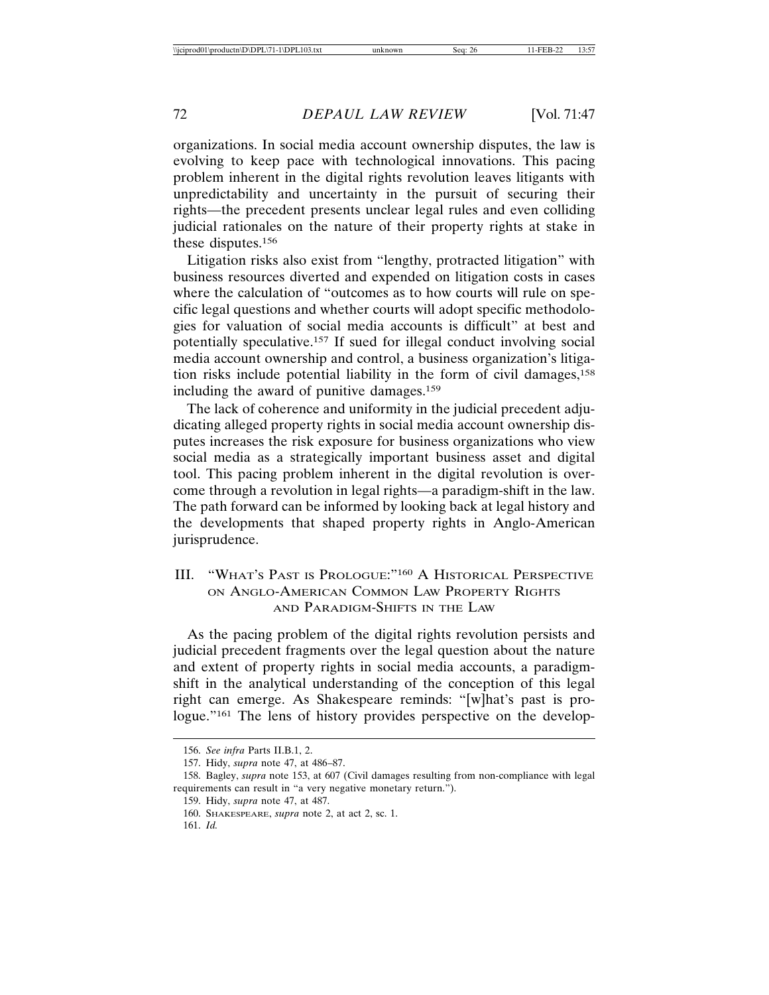organizations. In social media account ownership disputes, the law is evolving to keep pace with technological innovations. This pacing problem inherent in the digital rights revolution leaves litigants with unpredictability and uncertainty in the pursuit of securing their rights—the precedent presents unclear legal rules and even colliding judicial rationales on the nature of their property rights at stake in these disputes.156

Litigation risks also exist from "lengthy, protracted litigation" with business resources diverted and expended on litigation costs in cases where the calculation of "outcomes as to how courts will rule on specific legal questions and whether courts will adopt specific methodologies for valuation of social media accounts is difficult" at best and potentially speculative.157 If sued for illegal conduct involving social media account ownership and control, a business organization's litigation risks include potential liability in the form of civil damages,158 including the award of punitive damages.159

The lack of coherence and uniformity in the judicial precedent adjudicating alleged property rights in social media account ownership disputes increases the risk exposure for business organizations who view social media as a strategically important business asset and digital tool. This pacing problem inherent in the digital revolution is overcome through a revolution in legal rights—a paradigm-shift in the law. The path forward can be informed by looking back at legal history and the developments that shaped property rights in Anglo-American jurisprudence.

# III. "WHAT'S PAST IS PROLOGUE:"160 A HISTORICAL PERSPECTIVE ON ANGLO-AMERICAN COMMON LAW PROPERTY RIGHTS AND PARADIGM-SHIFTS IN THE LAW

As the pacing problem of the digital rights revolution persists and judicial precedent fragments over the legal question about the nature and extent of property rights in social media accounts, a paradigmshift in the analytical understanding of the conception of this legal right can emerge. As Shakespeare reminds: "[w]hat's past is prologue."<sup>161</sup> The lens of history provides perspective on the develop-

<sup>156.</sup> *See infra* Parts II.B.1, 2.

<sup>157.</sup> Hidy, *supra* note 47, at 486–87.

<sup>158.</sup> Bagley, *supra* note 153, at 607 (Civil damages resulting from non-compliance with legal requirements can result in "a very negative monetary return.").

<sup>159.</sup> Hidy, *supra* note 47, at 487.

<sup>160.</sup> SHAKESPEARE, *supra* note 2, at act 2, sc. 1.

<sup>161.</sup> *Id.*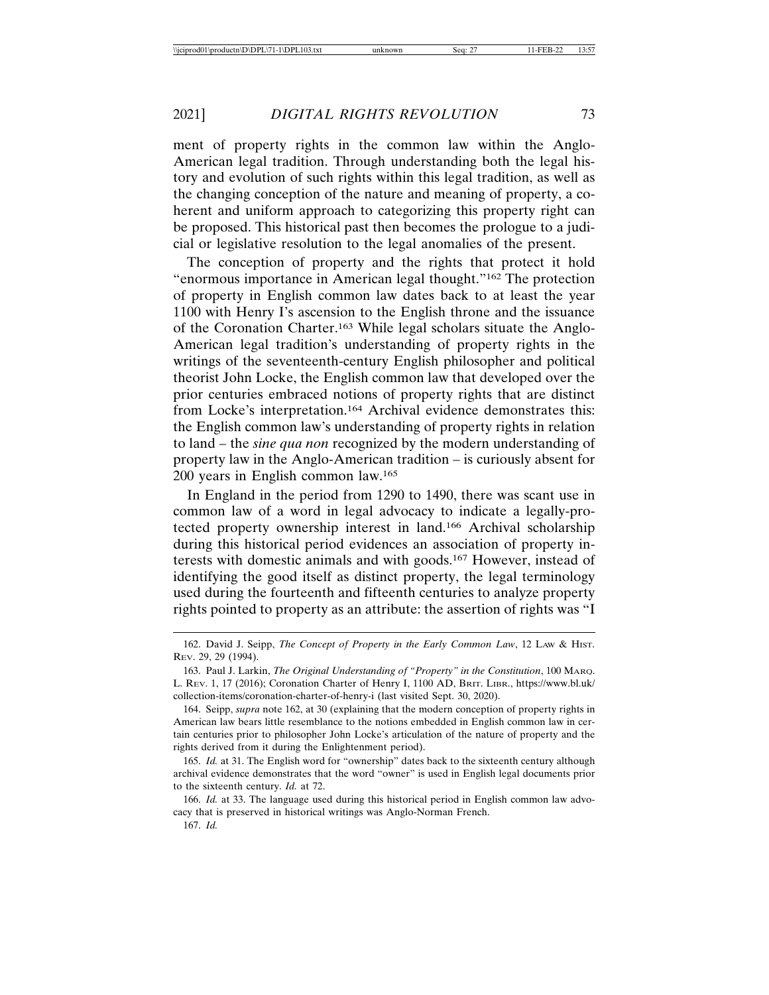ment of property rights in the common law within the Anglo-American legal tradition. Through understanding both the legal history and evolution of such rights within this legal tradition, as well as the changing conception of the nature and meaning of property, a coherent and uniform approach to categorizing this property right can be proposed. This historical past then becomes the prologue to a judicial or legislative resolution to the legal anomalies of the present.

The conception of property and the rights that protect it hold "enormous importance in American legal thought."162 The protection of property in English common law dates back to at least the year 1100 with Henry I's ascension to the English throne and the issuance of the Coronation Charter.163 While legal scholars situate the Anglo-American legal tradition's understanding of property rights in the writings of the seventeenth-century English philosopher and political theorist John Locke, the English common law that developed over the prior centuries embraced notions of property rights that are distinct from Locke's interpretation.164 Archival evidence demonstrates this: the English common law's understanding of property rights in relation to land – the *sine qua non* recognized by the modern understanding of property law in the Anglo-American tradition – is curiously absent for 200 years in English common law.165

In England in the period from 1290 to 1490, there was scant use in common law of a word in legal advocacy to indicate a legally-protected property ownership interest in land.166 Archival scholarship during this historical period evidences an association of property interests with domestic animals and with goods.167 However, instead of identifying the good itself as distinct property, the legal terminology used during the fourteenth and fifteenth centuries to analyze property rights pointed to property as an attribute: the assertion of rights was "I

165. *Id.* at 31. The English word for "ownership" dates back to the sixteenth century although archival evidence demonstrates that the word "owner" is used in English legal documents prior to the sixteenth century. *Id.* at 72.

166. *Id.* at 33. The language used during this historical period in English common law advocacy that is preserved in historical writings was Anglo-Norman French.

167. *Id.*

<sup>162.</sup> David J. Seipp, *The Concept of Property in the Early Common Law*, 12 LAW & HIST. REV. 29, 29 (1994).

<sup>163.</sup> Paul J. Larkin, *The Original Understanding of "Property" in the Constitution*, 100 MARQ. L. REV. 1, 17 (2016); Coronation Charter of Henry I, 1100 AD, BRIT. LIBR., https://www.bl.uk/ collection-items/coronation-charter-of-henry-i (last visited Sept. 30, 2020).

<sup>164.</sup> Seipp, *supra* note 162, at 30 (explaining that the modern conception of property rights in American law bears little resemblance to the notions embedded in English common law in certain centuries prior to philosopher John Locke's articulation of the nature of property and the rights derived from it during the Enlightenment period).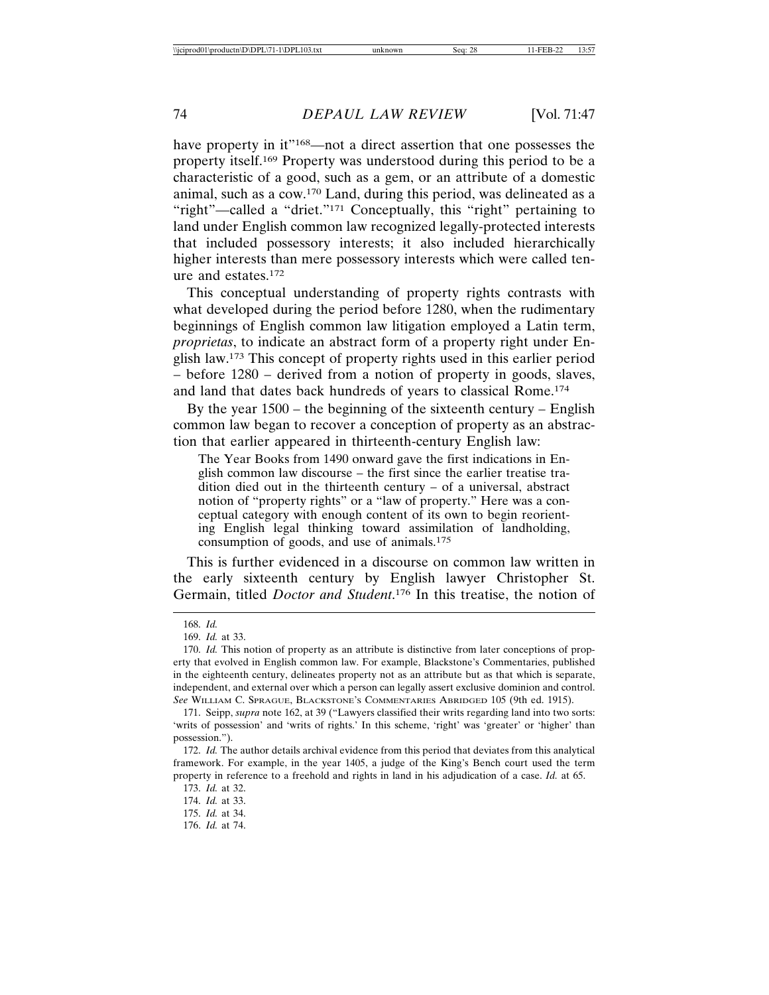have property in it"<sup>168</sup>—not a direct assertion that one possesses the property itself.169 Property was understood during this period to be a characteristic of a good, such as a gem, or an attribute of a domestic animal, such as a cow.170 Land, during this period, was delineated as a "right"—called a "driet."171 Conceptually, this "right" pertaining to land under English common law recognized legally-protected interests that included possessory interests; it also included hierarchically higher interests than mere possessory interests which were called tenure and estates.172

This conceptual understanding of property rights contrasts with what developed during the period before 1280, when the rudimentary beginnings of English common law litigation employed a Latin term, *proprietas*, to indicate an abstract form of a property right under English law.173 This concept of property rights used in this earlier period – before 1280 – derived from a notion of property in goods, slaves, and land that dates back hundreds of years to classical Rome.174

By the year 1500 – the beginning of the sixteenth century – English common law began to recover a conception of property as an abstraction that earlier appeared in thirteenth-century English law:

The Year Books from 1490 onward gave the first indications in English common law discourse – the first since the earlier treatise tradition died out in the thirteenth century – of a universal, abstract notion of "property rights" or a "law of property." Here was a conceptual category with enough content of its own to begin reorienting English legal thinking toward assimilation of landholding, consumption of goods, and use of animals.175

This is further evidenced in a discourse on common law written in the early sixteenth century by English lawyer Christopher St. Germain, titled *Doctor and Student*. 176 In this treatise, the notion of

<sup>168.</sup> *Id.*

<sup>169.</sup> *Id.* at 33.

<sup>170.</sup> *Id.* This notion of property as an attribute is distinctive from later conceptions of property that evolved in English common law. For example, Blackstone's Commentaries, published in the eighteenth century, delineates property not as an attribute but as that which is separate, independent, and external over which a person can legally assert exclusive dominion and control. *See* WILLIAM C. SPRAGUE, BLACKSTONE'S COMMENTARIES ABRIDGED 105 (9th ed. 1915).

<sup>171.</sup> Seipp, *supra* note 162, at 39 ("Lawyers classified their writs regarding land into two sorts: 'writs of possession' and 'writs of rights.' In this scheme, 'right' was 'greater' or 'higher' than possession.").

<sup>172.</sup> *Id.* The author details archival evidence from this period that deviates from this analytical framework. For example, in the year 1405, a judge of the King's Bench court used the term property in reference to a freehold and rights in land in his adjudication of a case. *Id.* at 65.

<sup>173.</sup> *Id.* at 32.

<sup>174.</sup> *Id.* at 33.

<sup>175.</sup> *Id.* at 34.

<sup>176.</sup> *Id.* at 74.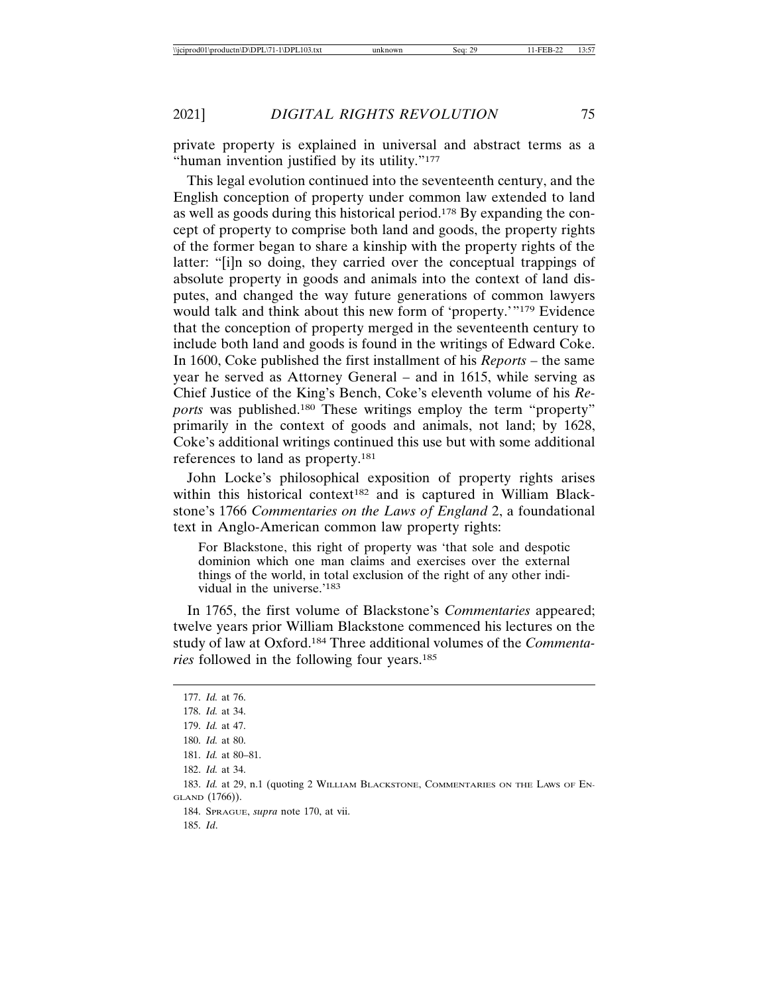private property is explained in universal and abstract terms as a "human invention justified by its utility."<sup>177</sup>

This legal evolution continued into the seventeenth century, and the English conception of property under common law extended to land as well as goods during this historical period.178 By expanding the concept of property to comprise both land and goods, the property rights of the former began to share a kinship with the property rights of the latter: "[i]n so doing, they carried over the conceptual trappings of absolute property in goods and animals into the context of land disputes, and changed the way future generations of common lawyers would talk and think about this new form of 'property.'"179 Evidence that the conception of property merged in the seventeenth century to include both land and goods is found in the writings of Edward Coke. In 1600, Coke published the first installment of his *Reports* – the same year he served as Attorney General – and in 1615, while serving as Chief Justice of the King's Bench, Coke's eleventh volume of his *Reports* was published.180 These writings employ the term "property" primarily in the context of goods and animals, not land; by 1628, Coke's additional writings continued this use but with some additional references to land as property.181

John Locke's philosophical exposition of property rights arises within this historical context<sup>182</sup> and is captured in William Blackstone's 1766 *Commentaries on the Laws of England* 2, a foundational text in Anglo-American common law property rights:

For Blackstone, this right of property was 'that sole and despotic dominion which one man claims and exercises over the external things of the world, in total exclusion of the right of any other individual in the universe.'183

In 1765, the first volume of Blackstone's *Commentaries* appeared; twelve years prior William Blackstone commenced his lectures on the study of law at Oxford.184 Three additional volumes of the *Commentaries* followed in the following four years.185

- 181. *Id.* at 80–81.
- 182. *Id.* at 34.

184. SPRAGUE, *supra* note 170, at vii.

<sup>177.</sup> *Id.* at 76.

<sup>178.</sup> *Id.* at 34.

<sup>179.</sup> *Id.* at 47.

<sup>180.</sup> *Id.* at 80.

<sup>183.</sup> *Id.* at 29, n.1 (quoting 2 WILLIAM BLACKSTONE, COMMENTARIES ON THE LAWS OF EN-GLAND (1766)).

<sup>185.</sup> *Id*.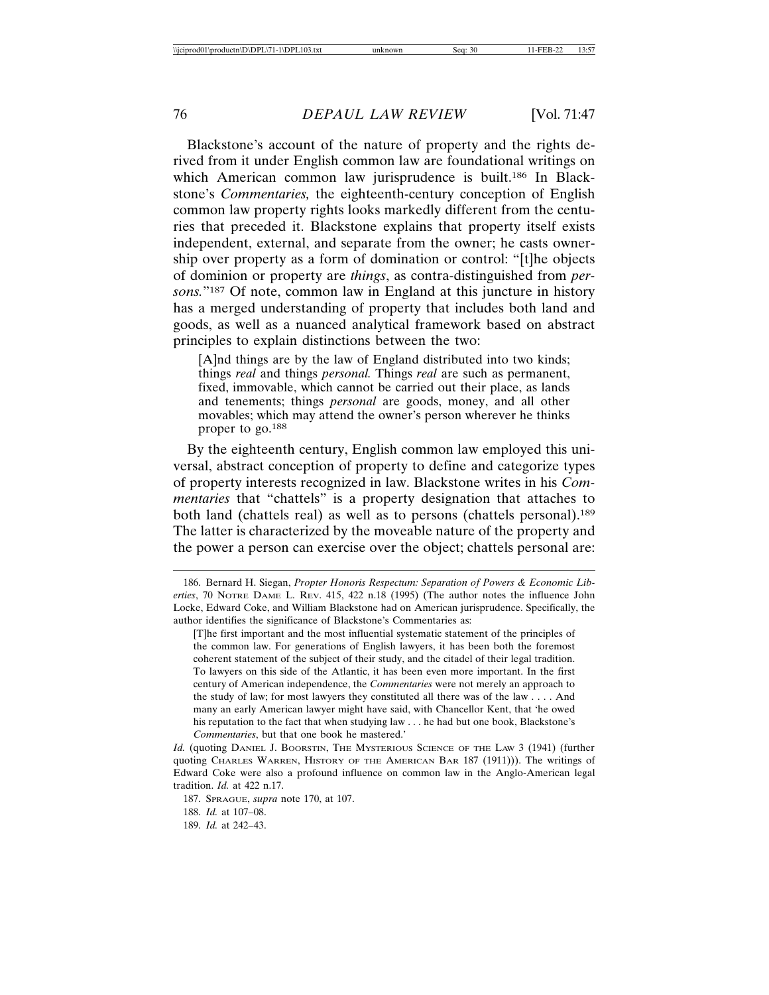Blackstone's account of the nature of property and the rights derived from it under English common law are foundational writings on which American common law jurisprudence is built.<sup>186</sup> In Blackstone's *Commentaries,* the eighteenth-century conception of English common law property rights looks markedly different from the centuries that preceded it. Blackstone explains that property itself exists independent, external, and separate from the owner; he casts ownership over property as a form of domination or control: "[t]he objects of dominion or property are *things*, as contra-distinguished from *persons.*"187 Of note, common law in England at this juncture in history has a merged understanding of property that includes both land and goods, as well as a nuanced analytical framework based on abstract principles to explain distinctions between the two:

[A]nd things are by the law of England distributed into two kinds; things *real* and things *personal.* Things *real* are such as permanent, fixed, immovable, which cannot be carried out their place, as lands and tenements; things *personal* are goods, money, and all other movables; which may attend the owner's person wherever he thinks proper to go.188

By the eighteenth century, English common law employed this universal, abstract conception of property to define and categorize types of property interests recognized in law. Blackstone writes in his *Commentaries* that "chattels" is a property designation that attaches to both land (chattels real) as well as to persons (chattels personal).189 The latter is characterized by the moveable nature of the property and the power a person can exercise over the object; chattels personal are:

[T]he first important and the most influential systematic statement of the principles of the common law. For generations of English lawyers, it has been both the foremost coherent statement of the subject of their study, and the citadel of their legal tradition. To lawyers on this side of the Atlantic, it has been even more important. In the first century of American independence, the *Commentaries* were not merely an approach to the study of law; for most lawyers they constituted all there was of the law . . . . And many an early American lawyer might have said, with Chancellor Kent, that 'he owed his reputation to the fact that when studying law . . . he had but one book, Blackstone's *Commentaries*, but that one book he mastered.'

Id. (quoting DANIEL J. BOORSTIN, THE MYSTERIOUS SCIENCE OF THE LAW 3 (1941) (further quoting CHARLES WARREN, HISTORY OF THE AMERICAN BAR 187 (1911))). The writings of Edward Coke were also a profound influence on common law in the Anglo-American legal tradition. *Id.* at 422 n.17.

187. SPRAGUE, *supra* note 170, at 107. 188. *Id.* at 107–08.

189. *Id.* at 242–43.

<sup>186.</sup> Bernard H. Siegan, *Propter Honoris Respectum: Separation of Powers & Economic Liberties*, 70 NOTRE DAME L. REV. 415, 422 n.18 (1995) (The author notes the influence John Locke, Edward Coke, and William Blackstone had on American jurisprudence. Specifically, the author identifies the significance of Blackstone's Commentaries as: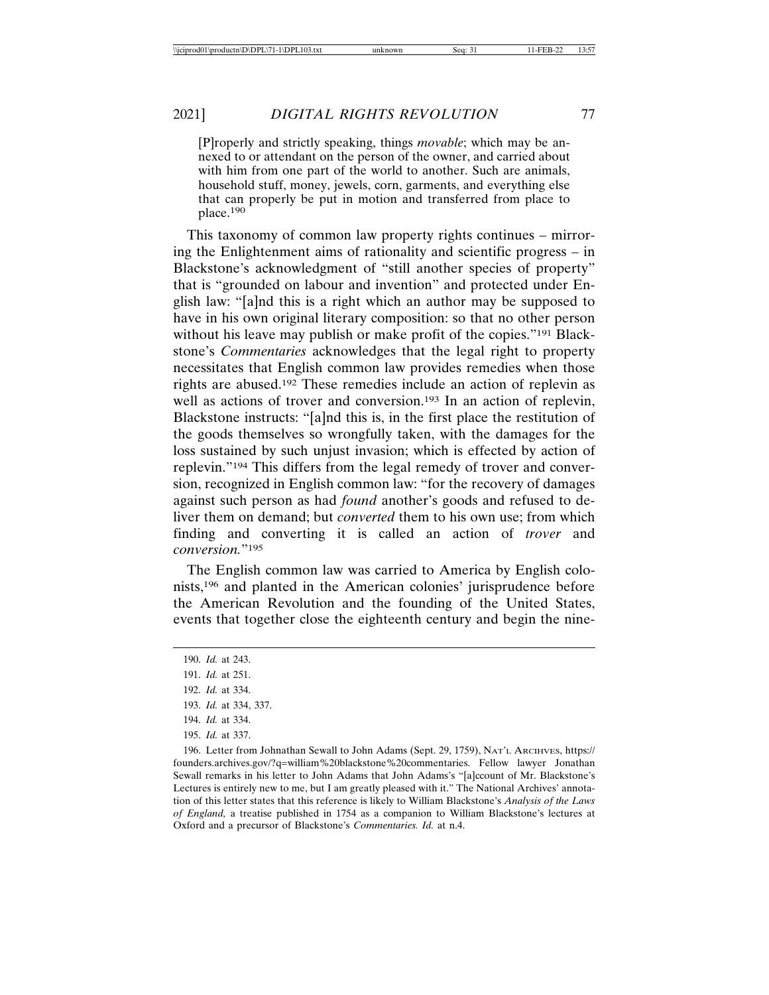[P]roperly and strictly speaking, things *movable*; which may be annexed to or attendant on the person of the owner, and carried about with him from one part of the world to another. Such are animals, household stuff, money, jewels, corn, garments, and everything else that can properly be put in motion and transferred from place to place.<sup>190</sup>

This taxonomy of common law property rights continues – mirroring the Enlightenment aims of rationality and scientific progress – in Blackstone's acknowledgment of "still another species of property" that is "grounded on labour and invention" and protected under English law: "[a]nd this is a right which an author may be supposed to have in his own original literary composition: so that no other person without his leave may publish or make profit of the copies."191 Blackstone's *Commentaries* acknowledges that the legal right to property necessitates that English common law provides remedies when those rights are abused.192 These remedies include an action of replevin as well as actions of trover and conversion.<sup>193</sup> In an action of replevin, Blackstone instructs: "[a]nd this is, in the first place the restitution of the goods themselves so wrongfully taken, with the damages for the loss sustained by such unjust invasion; which is effected by action of replevin."194 This differs from the legal remedy of trover and conversion, recognized in English common law: "for the recovery of damages against such person as had *found* another's goods and refused to deliver them on demand; but *converted* them to his own use; from which finding and converting it is called an action of *trover* and *conversion.*"195

The English common law was carried to America by English colonists,196 and planted in the American colonies' jurisprudence before the American Revolution and the founding of the United States, events that together close the eighteenth century and begin the nine-

- 194. *Id.* at 334.
- 195. *Id.* at 337.

196. Letter from Johnathan Sewall to John Adams (Sept. 29, 1759), NAT'L ARCIHVES, https:// founders.archives.gov/?q=william%20blackstone%20commentaries. Fellow lawyer Jonathan Sewall remarks in his letter to John Adams that John Adams's "[a]ccount of Mr. Blackstone's Lectures is entirely new to me, but I am greatly pleased with it." The National Archives' annotation of this letter states that this reference is likely to William Blackstone's *Analysis of the Laws of England,* a treatise published in 1754 as a companion to William Blackstone's lectures at Oxford and a precursor of Blackstone's *Commentaries. Id.* at n.4.

<sup>190.</sup> *Id.* at 243.

<sup>191.</sup> *Id.* at 251.

<sup>192.</sup> *Id.* at 334.

<sup>193.</sup> *Id.* at 334, 337.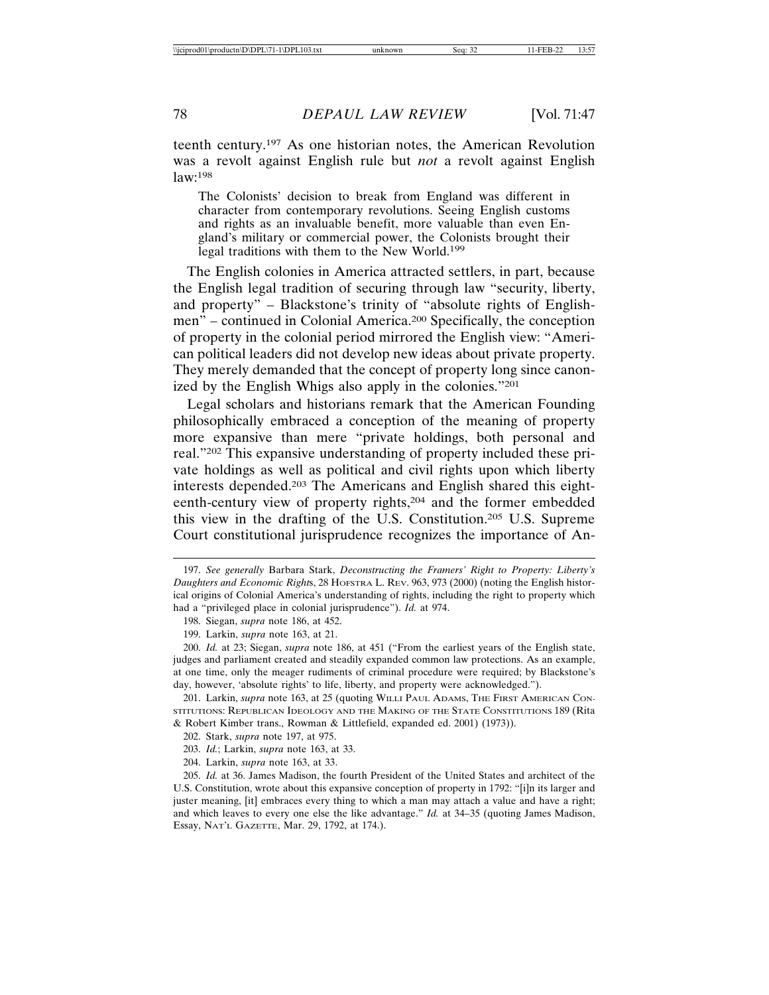teenth century.197 As one historian notes, the American Revolution was a revolt against English rule but *not* a revolt against English law:198

The Colonists' decision to break from England was different in character from contemporary revolutions. Seeing English customs and rights as an invaluable benefit, more valuable than even England's military or commercial power, the Colonists brought their legal traditions with them to the New World.199

The English colonies in America attracted settlers, in part, because the English legal tradition of securing through law "security, liberty, and property" – Blackstone's trinity of "absolute rights of Englishmen" – continued in Colonial America.200 Specifically, the conception of property in the colonial period mirrored the English view: "American political leaders did not develop new ideas about private property. They merely demanded that the concept of property long since canonized by the English Whigs also apply in the colonies."201

Legal scholars and historians remark that the American Founding philosophically embraced a conception of the meaning of property more expansive than mere "private holdings, both personal and real."202 This expansive understanding of property included these private holdings as well as political and civil rights upon which liberty interests depended.203 The Americans and English shared this eighteenth-century view of property rights,204 and the former embedded this view in the drafting of the U.S. Constitution.205 U.S. Supreme Court constitutional jurisprudence recognizes the importance of An-

198. Siegan, *supra* note 186, at 452.

204. Larkin, *supra* note 163, at 33.

<sup>197.</sup> *See generally* Barbara Stark, *Deconstructing the Framers' Right to Property: Liberty's Daughters and Economic Right*s, 28 HOFSTRA L. REV. 963, 973 (2000) (noting the English historical origins of Colonial America's understanding of rights, including the right to property which had a "privileged place in colonial jurisprudence"). *Id.* at 974.

<sup>199.</sup> Larkin, *supra* note 163, at 21.

<sup>200.</sup> *Id.* at 23; Siegan, *supra* note 186, at 451 ("From the earliest years of the English state, judges and parliament created and steadily expanded common law protections. As an example, at one time, only the meager rudiments of criminal procedure were required; by Blackstone's day, however, 'absolute rights' to life, liberty, and property were acknowledged.").

<sup>201.</sup> Larkin, *supra* note 163, at 25 (quoting WILLI PAUL ADAMS, THE FIRST AMERICAN CON-STITUTIONS: REPUBLICAN IDEOLOGY AND THE MAKING OF THE STATE CONSTITUTIONS 189 (Rita & Robert Kimber trans., Rowman & Littlefield, expanded ed. 2001) (1973)).

<sup>202.</sup> Stark, *supra* note 197, at 975.

<sup>203.</sup> *Id.*; Larkin, *supra* note 163, at 33.

<sup>205.</sup> *Id.* at 36. James Madison, the fourth President of the United States and architect of the U.S. Constitution, wrote about this expansive conception of property in 1792: "[i]n its larger and juster meaning, [it] embraces every thing to which a man may attach a value and have a right; and which leaves to every one else the like advantage." *Id.* at 34–35 (quoting James Madison, Essay, NAT'L GAZETTE, Mar. 29, 1792, at 174.).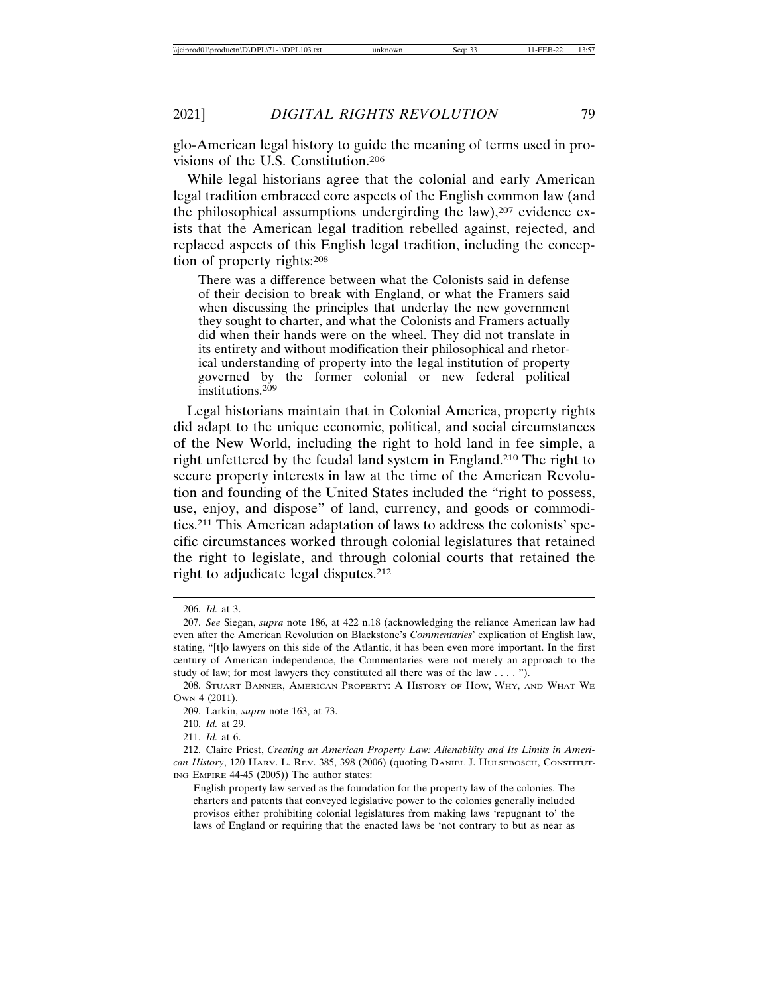glo-American legal history to guide the meaning of terms used in provisions of the U.S. Constitution.206

While legal historians agree that the colonial and early American legal tradition embraced core aspects of the English common law (and the philosophical assumptions undergirding the law), $207$  evidence exists that the American legal tradition rebelled against, rejected, and replaced aspects of this English legal tradition, including the conception of property rights:208

There was a difference between what the Colonists said in defense of their decision to break with England, or what the Framers said when discussing the principles that underlay the new government they sought to charter, and what the Colonists and Framers actually did when their hands were on the wheel. They did not translate in its entirety and without modification their philosophical and rhetorical understanding of property into the legal institution of property governed by the former colonial or new federal political institutions.<sup>209</sup>

Legal historians maintain that in Colonial America, property rights did adapt to the unique economic, political, and social circumstances of the New World, including the right to hold land in fee simple, a right unfettered by the feudal land system in England.210 The right to secure property interests in law at the time of the American Revolution and founding of the United States included the "right to possess, use, enjoy, and dispose" of land, currency, and goods or commodities.211 This American adaptation of laws to address the colonists' specific circumstances worked through colonial legislatures that retained the right to legislate, and through colonial courts that retained the right to adjudicate legal disputes.212

<sup>206.</sup> *Id.* at 3.

<sup>207.</sup> *See* Siegan, *supra* note 186, at 422 n.18 (acknowledging the reliance American law had even after the American Revolution on Blackstone's *Commentaries*' explication of English law, stating, "[t]o lawyers on this side of the Atlantic, it has been even more important. In the first century of American independence, the Commentaries were not merely an approach to the study of law; for most lawyers they constituted all there was of the law . . . . ").

<sup>208.</sup> STUART BANNER, AMERICAN PROPERTY: A HISTORY OF HOW, WHY, AND WHAT WE OWN 4 (2011).

<sup>209.</sup> Larkin, *supra* note 163, at 73.

<sup>210.</sup> *Id.* at 29.

<sup>211.</sup> *Id.* at 6.

<sup>212.</sup> Claire Priest, *Creating an American Property Law: Alienability and Its Limits in American History*, 120 HARV. L. REV. 385, 398 (2006) (quoting DANIEL J. HULSEBOSCH, CONSTITUT-ING EMPIRE 44-45 (2005)) The author states:

English property law served as the foundation for the property law of the colonies. The charters and patents that conveyed legislative power to the colonies generally included provisos either prohibiting colonial legislatures from making laws 'repugnant to' the laws of England or requiring that the enacted laws be 'not contrary to but as near as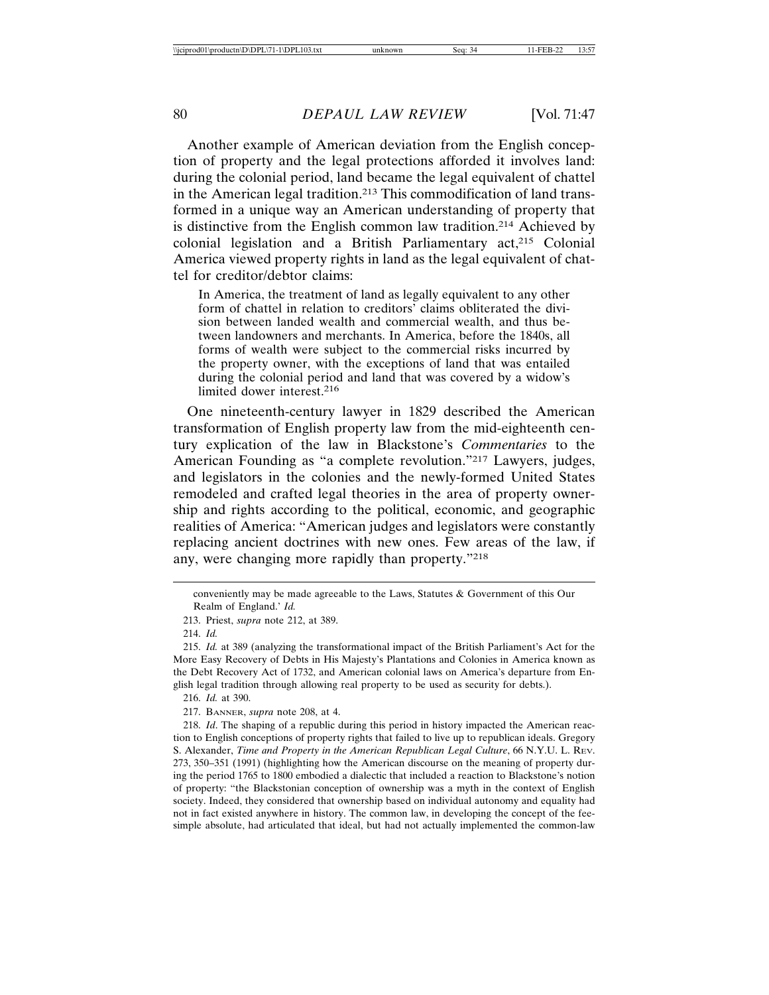Another example of American deviation from the English conception of property and the legal protections afforded it involves land: during the colonial period, land became the legal equivalent of chattel in the American legal tradition.213 This commodification of land transformed in a unique way an American understanding of property that is distinctive from the English common law tradition.214 Achieved by colonial legislation and a British Parliamentary act,215 Colonial America viewed property rights in land as the legal equivalent of chattel for creditor/debtor claims:

In America, the treatment of land as legally equivalent to any other form of chattel in relation to creditors' claims obliterated the division between landed wealth and commercial wealth, and thus between landowners and merchants. In America, before the 1840s, all forms of wealth were subject to the commercial risks incurred by the property owner, with the exceptions of land that was entailed during the colonial period and land that was covered by a widow's limited dower interest.216

One nineteenth-century lawyer in 1829 described the American transformation of English property law from the mid-eighteenth century explication of the law in Blackstone's *Commentaries* to the American Founding as "a complete revolution."217 Lawyers, judges, and legislators in the colonies and the newly-formed United States remodeled and crafted legal theories in the area of property ownership and rights according to the political, economic, and geographic realities of America: "American judges and legislators were constantly replacing ancient doctrines with new ones. Few areas of the law, if any, were changing more rapidly than property."218

- 216. *Id.* at 390.
- 217. BANNER, *supra* note 208, at 4.

conveniently may be made agreeable to the Laws, Statutes & Government of this Our Realm of England.' *Id.*

<sup>213.</sup> Priest, *supra* note 212, at 389.

<sup>214.</sup> *Id.*

<sup>215.</sup> *Id.* at 389 (analyzing the transformational impact of the British Parliament's Act for the More Easy Recovery of Debts in His Majesty's Plantations and Colonies in America known as the Debt Recovery Act of 1732, and American colonial laws on America's departure from English legal tradition through allowing real property to be used as security for debts.).

<sup>218.</sup> *Id*. The shaping of a republic during this period in history impacted the American reaction to English conceptions of property rights that failed to live up to republican ideals. Gregory S. Alexander, *Time and Property in the American Republican Legal Culture*, 66 N.Y.U. L. REV. 273, 350–351 (1991) (highlighting how the American discourse on the meaning of property during the period 1765 to 1800 embodied a dialectic that included a reaction to Blackstone's notion of property: "the Blackstonian conception of ownership was a myth in the context of English society. Indeed, they considered that ownership based on individual autonomy and equality had not in fact existed anywhere in history. The common law, in developing the concept of the feesimple absolute, had articulated that ideal, but had not actually implemented the common-law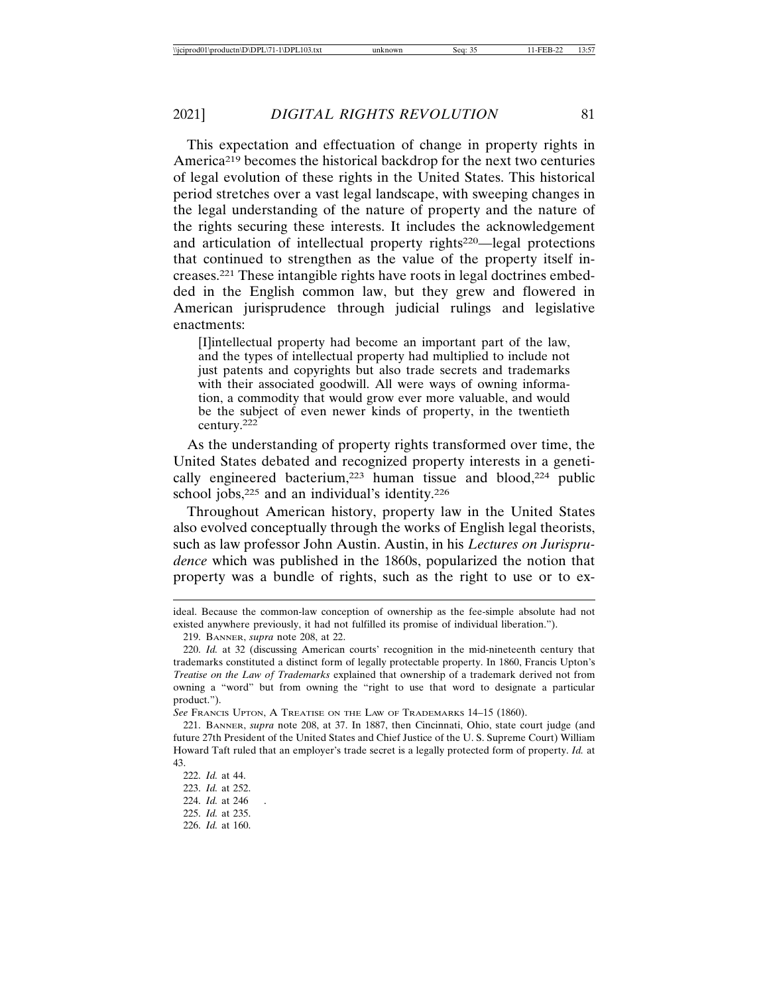This expectation and effectuation of change in property rights in America219 becomes the historical backdrop for the next two centuries of legal evolution of these rights in the United States. This historical period stretches over a vast legal landscape, with sweeping changes in the legal understanding of the nature of property and the nature of the rights securing these interests. It includes the acknowledgement and articulation of intellectual property rights<sup>220</sup>—legal protections that continued to strengthen as the value of the property itself increases.221 These intangible rights have roots in legal doctrines embedded in the English common law, but they grew and flowered in American jurisprudence through judicial rulings and legislative enactments:

[I]intellectual property had become an important part of the law, and the types of intellectual property had multiplied to include not just patents and copyrights but also trade secrets and trademarks with their associated goodwill. All were ways of owning information, a commodity that would grow ever more valuable, and would be the subject of even newer kinds of property, in the twentieth century.<sup>222</sup>

As the understanding of property rights transformed over time, the United States debated and recognized property interests in a genetically engineered bacterium,<sup>223</sup> human tissue and blood,<sup>224</sup> public school jobs,<sup>225</sup> and an individual's identity.<sup>226</sup>

Throughout American history, property law in the United States also evolved conceptually through the works of English legal theorists, such as law professor John Austin. Austin, in his *Lectures on Jurisprudence* which was published in the 1860s, popularized the notion that property was a bundle of rights, such as the right to use or to ex-

*See* FRANCIS UPTON, A TREATISE ON THE LAW OF TRADEMARKS 14–15 (1860).

ideal. Because the common-law conception of ownership as the fee-simple absolute had not existed anywhere previously, it had not fulfilled its promise of individual liberation.").

<sup>219.</sup> BANNER, *supra* note 208, at 22.

<sup>220.</sup> *Id.* at 32 (discussing American courts' recognition in the mid-nineteenth century that trademarks constituted a distinct form of legally protectable property. In 1860, Francis Upton's *Treatise on the Law of Trademarks* explained that ownership of a trademark derived not from owning a "word" but from owning the "right to use that word to designate a particular product.").

<sup>221.</sup> BANNER, *supra* note 208, at 37. In 1887, then Cincinnati, Ohio, state court judge (and future 27th President of the United States and Chief Justice of the U. S. Supreme Court) William Howard Taft ruled that an employer's trade secret is a legally protected form of property. *Id.* at 43.

<sup>222.</sup> *Id.* at 44. 223. *Id.* at 252. 224. *Id.* at 246 . 225. *Id.* at 235. 226. *Id.* at 160.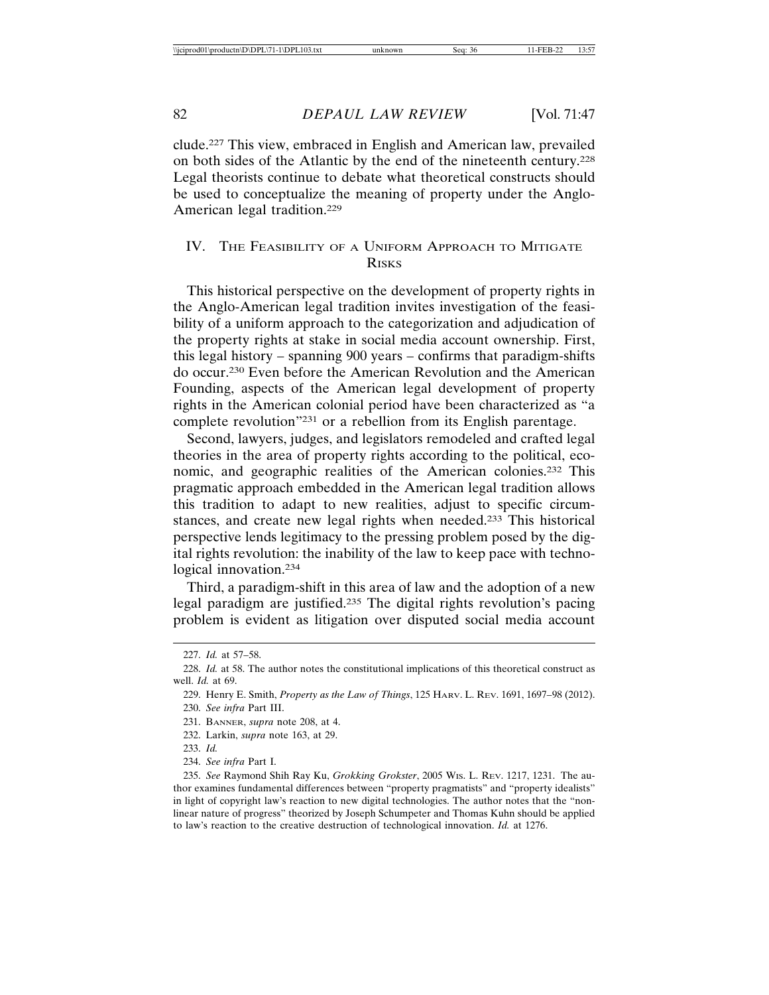clude.227 This view, embraced in English and American law, prevailed on both sides of the Atlantic by the end of the nineteenth century.228 Legal theorists continue to debate what theoretical constructs should be used to conceptualize the meaning of property under the Anglo-American legal tradition.229

## IV. THE FEASIBILITY OF A UNIFORM APPROACH TO MITIGATE RISKS

This historical perspective on the development of property rights in the Anglo-American legal tradition invites investigation of the feasibility of a uniform approach to the categorization and adjudication of the property rights at stake in social media account ownership. First, this legal history – spanning 900 years – confirms that paradigm-shifts do occur.230 Even before the American Revolution and the American Founding, aspects of the American legal development of property rights in the American colonial period have been characterized as "a complete revolution"231 or a rebellion from its English parentage.

Second, lawyers, judges, and legislators remodeled and crafted legal theories in the area of property rights according to the political, economic, and geographic realities of the American colonies.232 This pragmatic approach embedded in the American legal tradition allows this tradition to adapt to new realities, adjust to specific circumstances, and create new legal rights when needed.233 This historical perspective lends legitimacy to the pressing problem posed by the digital rights revolution: the inability of the law to keep pace with technological innovation.234

Third, a paradigm-shift in this area of law and the adoption of a new legal paradigm are justified.235 The digital rights revolution's pacing problem is evident as litigation over disputed social media account

<sup>227.</sup> *Id.* at 57–58.

<sup>228.</sup> *Id.* at 58. The author notes the constitutional implications of this theoretical construct as well. *Id.* at 69.

<sup>229.</sup> Henry E. Smith, *Property as the Law of Things*, 125 HARV. L. REV. 1691, 1697–98 (2012). 230. *See infra* Part III.

<sup>231.</sup> BANNER, *supra* note 208, at 4.

<sup>232.</sup> Larkin, *supra* note 163, at 29.

<sup>233.</sup> *Id.*

<sup>234.</sup> *See infra* Part I.

<sup>235.</sup> *See* Raymond Shih Ray Ku, *Grokking Grokster*, 2005 WIS. L. REV. 1217, 1231. The author examines fundamental differences between "property pragmatists" and "property idealists" in light of copyright law's reaction to new digital technologies. The author notes that the "nonlinear nature of progress" theorized by Joseph Schumpeter and Thomas Kuhn should be applied to law's reaction to the creative destruction of technological innovation. *Id.* at 1276.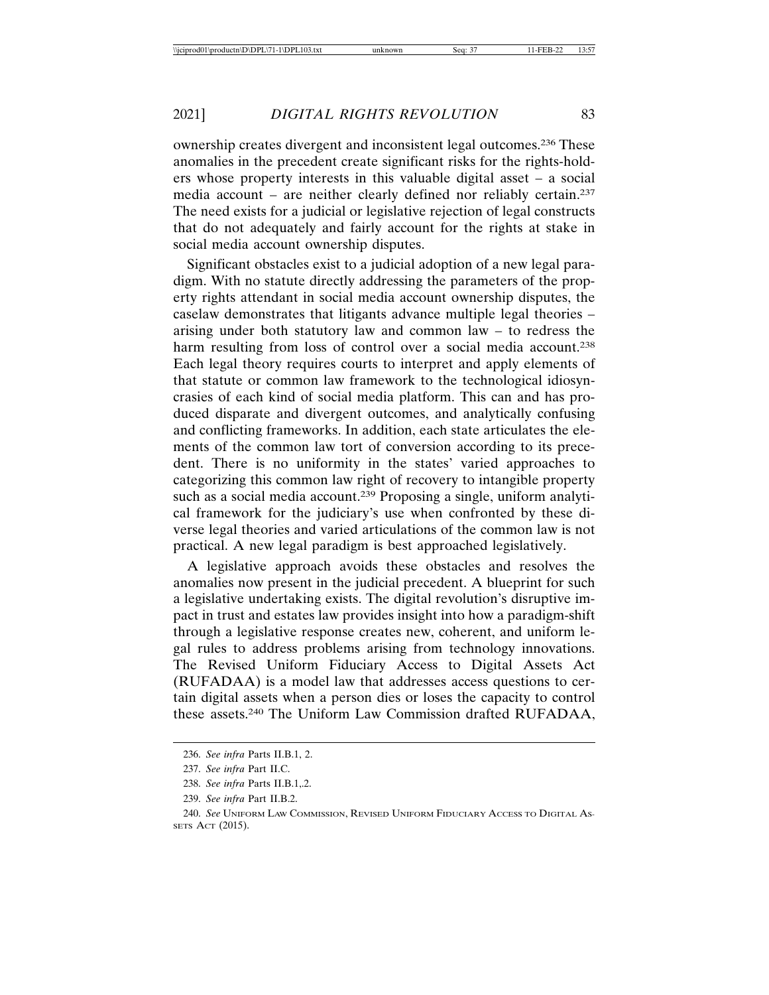ownership creates divergent and inconsistent legal outcomes.236 These anomalies in the precedent create significant risks for the rights-holders whose property interests in this valuable digital asset – a social media account – are neither clearly defined nor reliably certain.237 The need exists for a judicial or legislative rejection of legal constructs that do not adequately and fairly account for the rights at stake in social media account ownership disputes.

Significant obstacles exist to a judicial adoption of a new legal paradigm. With no statute directly addressing the parameters of the property rights attendant in social media account ownership disputes, the caselaw demonstrates that litigants advance multiple legal theories – arising under both statutory law and common law – to redress the harm resulting from loss of control over a social media account.<sup>238</sup> Each legal theory requires courts to interpret and apply elements of that statute or common law framework to the technological idiosyncrasies of each kind of social media platform. This can and has produced disparate and divergent outcomes, and analytically confusing and conflicting frameworks. In addition, each state articulates the elements of the common law tort of conversion according to its precedent. There is no uniformity in the states' varied approaches to categorizing this common law right of recovery to intangible property such as a social media account.<sup>239</sup> Proposing a single, uniform analytical framework for the judiciary's use when confronted by these diverse legal theories and varied articulations of the common law is not practical. A new legal paradigm is best approached legislatively.

A legislative approach avoids these obstacles and resolves the anomalies now present in the judicial precedent. A blueprint for such a legislative undertaking exists. The digital revolution's disruptive impact in trust and estates law provides insight into how a paradigm-shift through a legislative response creates new, coherent, and uniform legal rules to address problems arising from technology innovations. The Revised Uniform Fiduciary Access to Digital Assets Act (RUFADAA) is a model law that addresses access questions to certain digital assets when a person dies or loses the capacity to control these assets.240 The Uniform Law Commission drafted RUFADAA,

<sup>236.</sup> *See infra* Parts II.B.1, 2.

<sup>237.</sup> *See infra* Part II.C.

<sup>238.</sup> *See infra* Parts II.B.1,.2.

<sup>239.</sup> *See infra* Part II.B.2.

<sup>240.</sup> *See* UNIFORM LAW COMMISSION, REVISED UNIFORM FIDUCIARY ACCESS TO DIGITAL AS-SETS ACT (2015).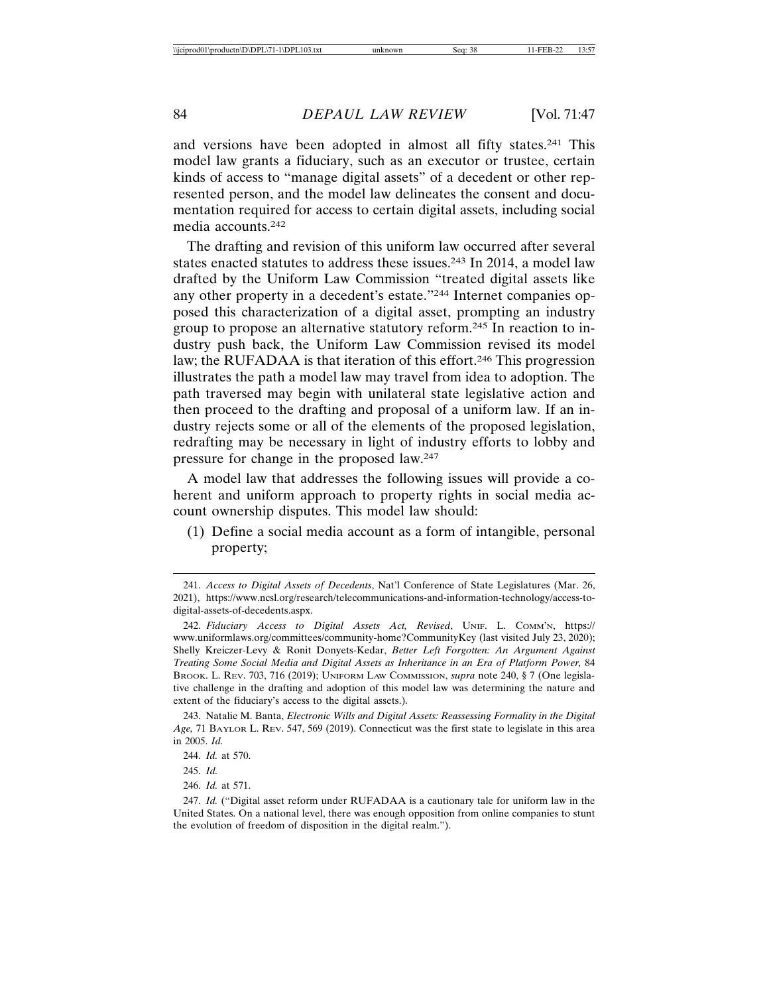and versions have been adopted in almost all fifty states.241 This model law grants a fiduciary, such as an executor or trustee, certain kinds of access to "manage digital assets" of a decedent or other represented person, and the model law delineates the consent and documentation required for access to certain digital assets, including social media accounts.242

The drafting and revision of this uniform law occurred after several states enacted statutes to address these issues.243 In 2014, a model law drafted by the Uniform Law Commission "treated digital assets like any other property in a decedent's estate."244 Internet companies opposed this characterization of a digital asset, prompting an industry group to propose an alternative statutory reform.245 In reaction to industry push back, the Uniform Law Commission revised its model law; the RUFADAA is that iteration of this effort.246 This progression illustrates the path a model law may travel from idea to adoption. The path traversed may begin with unilateral state legislative action and then proceed to the drafting and proposal of a uniform law. If an industry rejects some or all of the elements of the proposed legislation, redrafting may be necessary in light of industry efforts to lobby and pressure for change in the proposed law.247

A model law that addresses the following issues will provide a coherent and uniform approach to property rights in social media account ownership disputes. This model law should:

(1) Define a social media account as a form of intangible, personal property;

246. *Id.* at 571.

<sup>241.</sup> *Access to Digital Assets of Decedents*, Nat'l Conference of State Legislatures (Mar. 26, 2021), https://www.ncsl.org/research/telecommunications-and-information-technology/access-todigital-assets-of-decedents.aspx.

<sup>242.</sup> *Fiduciary Access to Digital Assets Act, Revised*, UNIF. L. COMM'N, https:// www.uniformlaws.org/committees/community-home?CommunityKey (last visited July 23, 2020); Shelly Kreiczer-Levy & Ronit Donyets-Kedar, *Better Left Forgotten: An Argument Against Treating Some Social Media and Digital Assets as Inheritance in an Era of Platform Power,* 84 BROOK. L. REV. 703, 716 (2019); UNIFORM LAW COMMISSION, *supra* note 240, § 7 (One legislative challenge in the drafting and adoption of this model law was determining the nature and extent of the fiduciary's access to the digital assets.).

<sup>243.</sup> Natalie M. Banta, *Electronic Wills and Digital Assets: Reassessing Formality in the Digital Age,* 71 BAYLOR L. REV. 547, 569 (2019). Connecticut was the first state to legislate in this area in 2005. *Id.*

<sup>244.</sup> *Id.* at 570.

<sup>245.</sup> *Id.*

<sup>247.</sup> *Id.* ("Digital asset reform under RUFADAA is a cautionary tale for uniform law in the United States. On a national level, there was enough opposition from online companies to stunt the evolution of freedom of disposition in the digital realm.").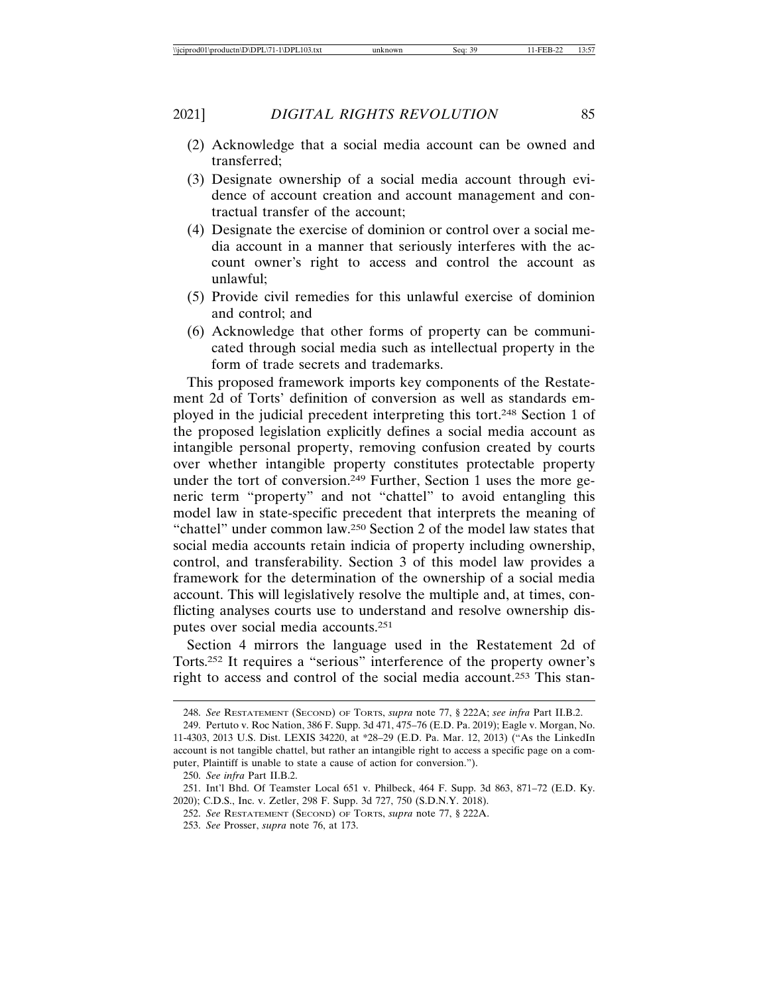- (2) Acknowledge that a social media account can be owned and transferred;
- (3) Designate ownership of a social media account through evidence of account creation and account management and contractual transfer of the account;
- (4) Designate the exercise of dominion or control over a social media account in a manner that seriously interferes with the account owner's right to access and control the account as unlawful;
- (5) Provide civil remedies for this unlawful exercise of dominion and control; and
- (6) Acknowledge that other forms of property can be communicated through social media such as intellectual property in the form of trade secrets and trademarks.

This proposed framework imports key components of the Restatement 2d of Torts' definition of conversion as well as standards employed in the judicial precedent interpreting this tort.248 Section 1 of the proposed legislation explicitly defines a social media account as intangible personal property, removing confusion created by courts over whether intangible property constitutes protectable property under the tort of conversion.249 Further, Section 1 uses the more generic term "property" and not "chattel" to avoid entangling this model law in state-specific precedent that interprets the meaning of "chattel" under common law.250 Section 2 of the model law states that social media accounts retain indicia of property including ownership, control, and transferability. Section 3 of this model law provides a framework for the determination of the ownership of a social media account. This will legislatively resolve the multiple and, at times, conflicting analyses courts use to understand and resolve ownership disputes over social media accounts.251

Section 4 mirrors the language used in the Restatement 2d of Torts.252 It requires a "serious" interference of the property owner's right to access and control of the social media account.253 This stan-

253. *See* Prosser, *supra* note 76, at 173.

<sup>248.</sup> *See* RESTATEMENT (SECOND) OF TORTS, *supra* note 77, § 222A; *see infra* Part II.B.2.

<sup>249.</sup> Pertuto v. Roc Nation, 386 F. Supp. 3d 471, 475–76 (E.D. Pa. 2019); Eagle v. Morgan, No. 11-4303, 2013 U.S. Dist. LEXIS 34220, at \*28–29 (E.D. Pa. Mar. 12, 2013) ("As the LinkedIn account is not tangible chattel, but rather an intangible right to access a specific page on a computer, Plaintiff is unable to state a cause of action for conversion.").

<sup>250.</sup> *See infra* Part II.B.2.

<sup>251.</sup> Int'l Bhd. Of Teamster Local 651 v. Philbeck, 464 F. Supp. 3d 863, 871–72 (E.D. Ky. 2020); C.D.S., Inc. v. Zetler, 298 F. Supp. 3d 727, 750 (S.D.N.Y. 2018).

<sup>252.</sup> *See* RESTATEMENT (SECOND) OF TORTS, *supra* note 77, § 222A.